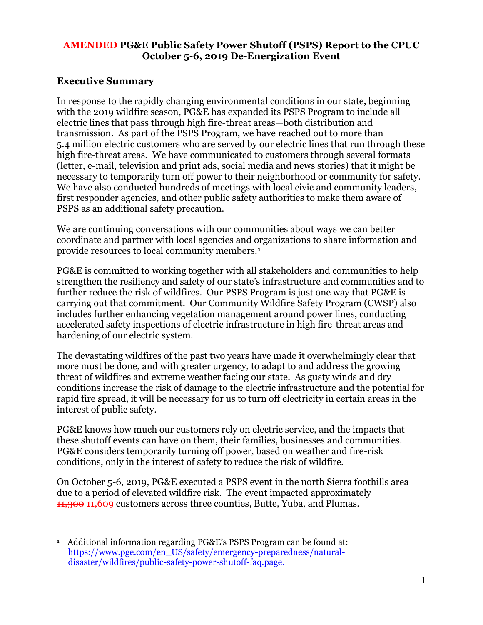### **AMENDED PG&E Public Safety Power Shutoff (PSPS) Report to the CPUC October 5-6, 2019 De-Energization Event**

## **Executive Summary**

In response to the rapidly changing environmental conditions in our state, beginning with the 2019 wildfire season, PG&E has expanded its PSPS Program to include all electric lines that pass through high fire-threat areas—both distribution and transmission. As part of the PSPS Program, we have reached out to more than 5.4 million electric customers who are served by our electric lines that run through these high fire-threat areas. We have communicated to customers through several formats (letter, e-mail, television and print ads, social media and news stories) that it might be necessary to temporarily turn off power to their neighborhood or community for safety. We have also conducted hundreds of meetings with local civic and community leaders, first responder agencies, and other public safety authorities to make them aware of PSPS as an additional safety precaution.

We are continuing conversations with our communities about ways we can better coordinate and partner with local agencies and organizations to share information and provide resources to local community members.**<sup>1</sup>**

PG&E is committed to working together with all stakeholders and communities to help strengthen the resiliency and safety of our state's infrastructure and communities and to further reduce the risk of wildfires. Our PSPS Program is just one way that PG&E is carrying out that commitment. Our Community Wildfire Safety Program (CWSP) also includes further enhancing vegetation management around power lines, conducting accelerated safety inspections of electric infrastructure in high fire-threat areas and hardening of our electric system.

The devastating wildfires of the past two years have made it overwhelmingly clear that more must be done, and with greater urgency, to adapt to and address the growing threat of wildfires and extreme weather facing our state. As gusty winds and dry conditions increase the risk of damage to the electric infrastructure and the potential for rapid fire spread, it will be necessary for us to turn off electricity in certain areas in the interest of public safety.

PG&E knows how much our customers rely on electric service, and the impacts that these shutoff events can have on them, their families, businesses and communities. PG&E considers temporarily turning off power, based on weather and fire-risk conditions, only in the interest of safety to reduce the risk of wildfire.

On October 5-6, 2019, PG&E executed a PSPS event in the north Sierra foothills area due to a period of elevated wildfire risk. The event impacted approximately 11,300 11,609 customers across three counties, Butte, Yuba, and Plumas.

 $\overline{a}$ **<sup>1</sup>** Additional information regarding PG&E's PSPS Program can be found at: [https://www.pge.com/en\\_US/safety/emergency-preparedness/natural](https://www.pge.com/en_US/safety/emergency-preparedness/natural-disaster/wildfires/public-safety-power-shutoff-faq.page)[disaster/wildfires/public-safety-power-shutoff-faq.page.](https://www.pge.com/en_US/safety/emergency-preparedness/natural-disaster/wildfires/public-safety-power-shutoff-faq.page)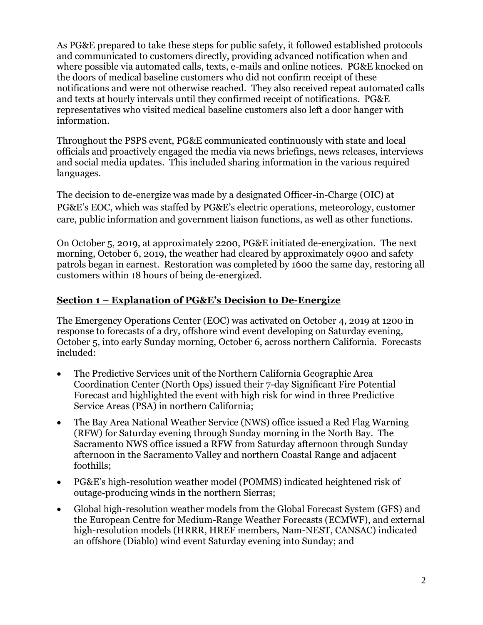As PG&E prepared to take these steps for public safety, it followed established protocols and communicated to customers directly, providing advanced notification when and where possible via automated calls, texts, e-mails and online notices. PG&E knocked on the doors of medical baseline customers who did not confirm receipt of these notifications and were not otherwise reached. They also received repeat automated calls and texts at hourly intervals until they confirmed receipt of notifications. PG&E representatives who visited medical baseline customers also left a door hanger with information.

Throughout the PSPS event, PG&E communicated continuously with state and local officials and proactively engaged the media via news briefings, news releases, interviews and social media updates. This included sharing information in the various required languages.

The decision to de-energize was made by a designated Officer-in-Charge (OIC) at PG&E's EOC, which was staffed by PG&E's electric operations, meteorology, customer care, public information and government liaison functions, as well as other functions.

On October 5, 2019, at approximately 2200, PG&E initiated de-energization. The next morning, October 6, 2019, the weather had cleared by approximately 0900 and safety patrols began in earnest. Restoration was completed by 1600 the same day, restoring all customers within 18 hours of being de-energized.

## **Section 1 – Explanation of PG&E's Decision to De-Energize**

The Emergency Operations Center (EOC) was activated on October 4, 2019 at 1200 in response to forecasts of a dry, offshore wind event developing on Saturday evening, October 5, into early Sunday morning, October 6, across northern California. Forecasts included:

- The Predictive Services unit of the Northern California Geographic Area Coordination Center (North Ops) issued their 7-day Significant Fire Potential Forecast and highlighted the event with high risk for wind in three Predictive Service Areas (PSA) in northern California;
- The Bay Area National Weather Service (NWS) office issued a Red Flag Warning (RFW) for Saturday evening through Sunday morning in the North Bay. The Sacramento NWS office issued a RFW from Saturday afternoon through Sunday afternoon in the Sacramento Valley and northern Coastal Range and adjacent foothills;
- PG&E's high-resolution weather model (POMMS) indicated heightened risk of outage-producing winds in the northern Sierras;
- Global high-resolution weather models from the Global Forecast System (GFS) and the European Centre for Medium-Range Weather Forecasts (ECMWF), and external high-resolution models (HRRR, HREF members, Nam-NEST, CANSAC) indicated an offshore (Diablo) wind event Saturday evening into Sunday; and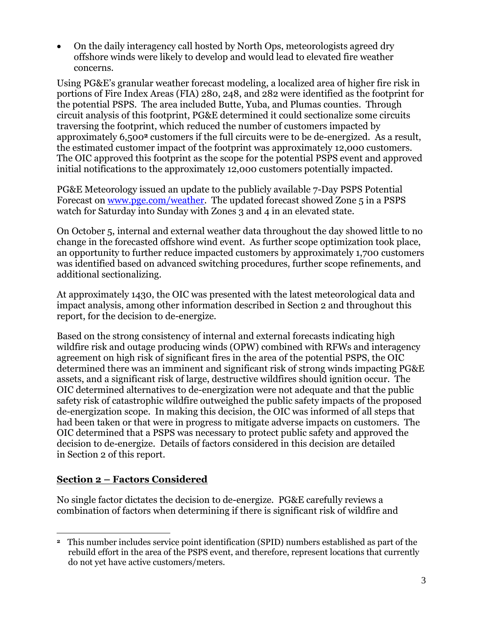• On the daily interagency call hosted by North Ops, meteorologists agreed dry offshore winds were likely to develop and would lead to elevated fire weather concerns.

Using PG&E's granular weather forecast modeling, a localized area of higher fire risk in portions of Fire Index Areas (FIA) 280, 248, and 282 were identified as the footprint for the potential PSPS. The area included Butte, Yuba, and Plumas counties. Through circuit analysis of this footprint, PG&E determined it could sectionalize some circuits traversing the footprint, which reduced the number of customers impacted by approximately 6,500**<sup>2</sup>** customers if the full circuits were to be de-energized. As a result, the estimated customer impact of the footprint was approximately 12,000 customers. The OIC approved this footprint as the scope for the potential PSPS event and approved initial notifications to the approximately 12,000 customers potentially impacted.

PG&E Meteorology issued an update to the publicly available 7-Day PSPS Potential Forecast on [www.pge.com/weather.](http://www.pge.com/weather) The updated forecast showed Zone 5 in a PSPS watch for Saturday into Sunday with Zones 3 and 4 in an elevated state.

On October 5, internal and external weather data throughout the day showed little to no change in the forecasted offshore wind event. As further scope optimization took place, an opportunity to further reduce impacted customers by approximately 1,700 customers was identified based on advanced switching procedures, further scope refinements, and additional sectionalizing.

At approximately 1430, the OIC was presented with the latest meteorological data and impact analysis, among other information described in Section 2 and throughout this report, for the decision to de-energize.

Based on the strong consistency of internal and external forecasts indicating high wildfire risk and outage producing winds (OPW) combined with RFWs and interagency agreement on high risk of significant fires in the area of the potential PSPS, the OIC determined there was an imminent and significant risk of strong winds impacting PG&E assets, and a significant risk of large, destructive wildfires should ignition occur. The OIC determined alternatives to de-energization were not adequate and that the public safety risk of catastrophic wildfire outweighed the public safety impacts of the proposed de-energization scope. In making this decision, the OIC was informed of all steps that had been taken or that were in progress to mitigate adverse impacts on customers. The OIC determined that a PSPS was necessary to protect public safety and approved the decision to de-energize. Details of factors considered in this decision are detailed in Section 2 of this report.

## **Section 2 – Factors Considered**

No single factor dictates the decision to de-energize. PG&E carefully reviews a combination of factors when determining if there is significant risk of wildfire and

 $\overline{a}$ **<sup>2</sup>** This number includes service point identification (SPID) numbers established as part of the rebuild effort in the area of the PSPS event, and therefore, represent locations that currently do not yet have active customers/meters.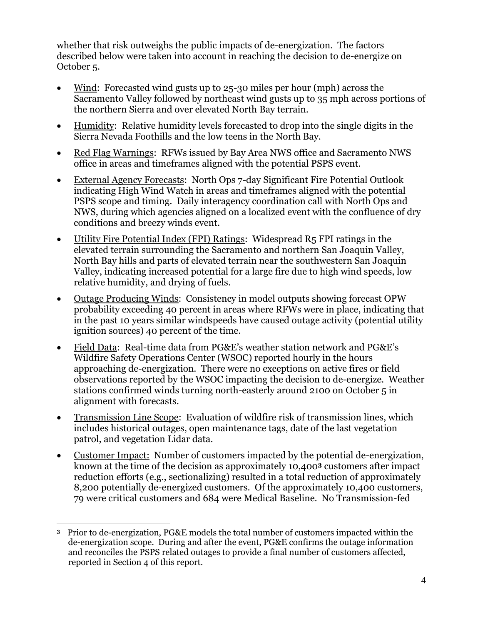whether that risk outweighs the public impacts of de-energization. The factors described below were taken into account in reaching the decision to de-energize on October 5.

- Wind: Forecasted wind gusts up to 25-30 miles per hour (mph) across the Sacramento Valley followed by northeast wind gusts up to 35 mph across portions of the northern Sierra and over elevated North Bay terrain.
- Humidity: Relative humidity levels forecasted to drop into the single digits in the Sierra Nevada Foothills and the low teens in the North Bay.
- Red Flag Warnings: RFWs issued by Bay Area NWS office and Sacramento NWS office in areas and timeframes aligned with the potential PSPS event.
- External Agency Forecasts: North Ops 7-day Significant Fire Potential Outlook indicating High Wind Watch in areas and timeframes aligned with the potential PSPS scope and timing. Daily interagency coordination call with North Ops and NWS, during which agencies aligned on a localized event with the confluence of dry conditions and breezy winds event.
- Utility Fire Potential Index (FPI) Ratings: Widespread R5 FPI ratings in the elevated terrain surrounding the Sacramento and northern San Joaquin Valley, North Bay hills and parts of elevated terrain near the southwestern San Joaquin Valley, indicating increased potential for a large fire due to high wind speeds, low relative humidity, and drying of fuels.
- Outage Producing Winds: Consistency in model outputs showing forecast OPW probability exceeding 40 percent in areas where RFWs were in place, indicating that in the past 10 years similar windspeeds have caused outage activity (potential utility ignition sources) 40 percent of the time.
- Field Data: Real-time data from PG&E's weather station network and PG&E's Wildfire Safety Operations Center (WSOC) reported hourly in the hours approaching de-energization. There were no exceptions on active fires or field observations reported by the WSOC impacting the decision to de-energize. Weather stations confirmed winds turning north-easterly around 2100 on October 5 in alignment with forecasts.
- Transmission Line Scope: Evaluation of wildfire risk of transmission lines, which includes historical outages, open maintenance tags, date of the last vegetation patrol, and vegetation Lidar data.
- Customer Impact: Number of customers impacted by the potential de-energization, known at the time of the decision as approximately 10,400**<sup>3</sup>** customers after impact reduction efforts (e.g., sectionalizing) resulted in a total reduction of approximately 8,200 potentially de-energized customers. Of the approximately 10,400 customers, 79 were critical customers and 684 were Medical Baseline. No Transmission-fed

 $\overline{a}$ **<sup>3</sup>** Prior to de-energization, PG&E models the total number of customers impacted within the de-energization scope. During and after the event, PG&E confirms the outage information and reconciles the PSPS related outages to provide a final number of customers affected, reported in Section 4 of this report.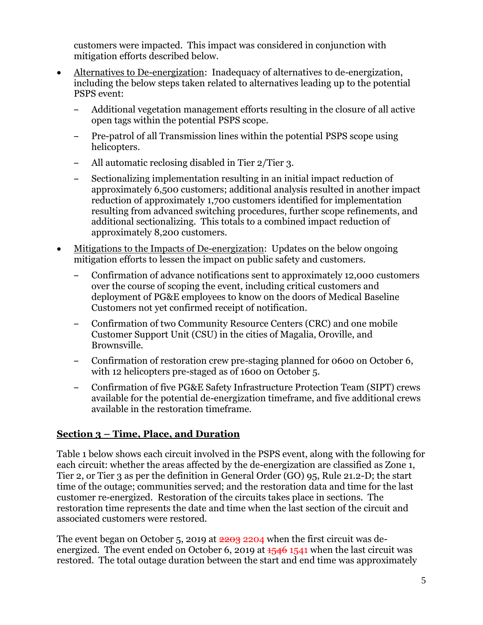customers were impacted. This impact was considered in conjunction with mitigation efforts described below.

- Alternatives to De-energization: Inadequacy of alternatives to de-energization, including the below steps taken related to alternatives leading up to the potential PSPS event:
	- ‒ Additional vegetation management efforts resulting in the closure of all active open tags within the potential PSPS scope.
	- ‒ Pre-patrol of all Transmission lines within the potential PSPS scope using helicopters.
	- ‒ All automatic reclosing disabled in Tier 2/Tier 3.
	- ‒ Sectionalizing implementation resulting in an initial impact reduction of approximately 6,500 customers; additional analysis resulted in another impact reduction of approximately 1,700 customers identified for implementation resulting from advanced switching procedures, further scope refinements, and additional sectionalizing. This totals to a combined impact reduction of approximately 8,200 customers.
- Mitigations to the Impacts of De-energization: Updates on the below ongoing mitigation efforts to lessen the impact on public safety and customers.
	- ‒ Confirmation of advance notifications sent to approximately 12,000 customers over the course of scoping the event, including critical customers and deployment of PG&E employees to know on the doors of Medical Baseline Customers not yet confirmed receipt of notification.
	- ‒ Confirmation of two Community Resource Centers (CRC) and one mobile Customer Support Unit (CSU) in the cities of Magalia, Oroville, and Brownsville.
	- ‒ Confirmation of restoration crew pre-staging planned for 0600 on October 6, with 12 helicopters pre-staged as of 1600 on October 5.
	- ‒ Confirmation of five PG&E Safety Infrastructure Protection Team (SIPT) crews available for the potential de-energization timeframe, and five additional crews available in the restoration timeframe.

# **Section 3 – Time, Place, and Duration**

[Table 1](#page-5-0) below shows each circuit involved in the PSPS event, along with the following for each circuit: whether the areas affected by the de-energization are classified as Zone 1, Tier 2, or Tier 3 as per the definition in General Order (GO) 95, Rule 21.2-D; the start time of the outage; communities served; and the restoration data and time for the last customer re-energized. Restoration of the circuits takes place in sections. The restoration time represents the date and time when the last section of the circuit and associated customers were restored.

The event began on October 5, 2019 at 2203 2204 when the first circuit was deenergized. The event ended on October 6, 2019 at  $1546$  1541 when the last circuit was restored. The total outage duration between the start and end time was approximately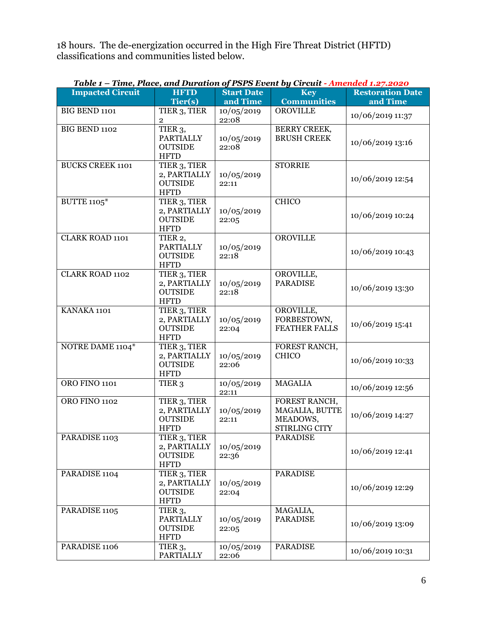18 hours. The de-energization occurred in the High Fire Threat District (HFTD) classifications and communities listed below.

<span id="page-5-0"></span>

| <b>Impacted Circuit</b> | <b>HFTD</b>                                                               | $1.01.0$ Develop<br><b>Start Date</b> | <b>Key</b>                                                          | <b>Restoration Date</b> |
|-------------------------|---------------------------------------------------------------------------|---------------------------------------|---------------------------------------------------------------------|-------------------------|
|                         | Tier(s)                                                                   | and Time                              | <b>Communities</b>                                                  | and Time                |
| <b>BIG BEND 1101</b>    | TIER <sub>3</sub> , TIER<br>$\overline{2}$                                | 10/05/2019<br>22:08                   | <b>OROVILLE</b>                                                     | 10/06/2019 11:37        |
| BIG BEND 1102           | TIER <sub>3</sub> ,<br><b>PARTIALLY</b><br><b>OUTSIDE</b><br><b>HFTD</b>  | 10/05/2019<br>22:08                   | <b>BERRY CREEK,</b><br><b>BRUSH CREEK</b>                           | 10/06/2019 13:16        |
| <b>BUCKS CREEK 1101</b> | TIER <sub>3</sub> , TIER<br>2, PARTIALLY<br><b>OUTSIDE</b><br><b>HFTD</b> | 10/05/2019<br>22:11                   | <b>STORRIE</b>                                                      | 10/06/2019 12:54        |
| <b>BUTTE 1105*</b>      | TIER <sub>3</sub> , TIER<br>2, PARTIALLY<br><b>OUTSIDE</b><br><b>HFTD</b> | 10/05/2019<br>22:05                   | <b>CHICO</b>                                                        | 10/06/2019 10:24        |
| <b>CLARK ROAD 1101</b>  | TIER 2,<br><b>PARTIALLY</b><br><b>OUTSIDE</b><br><b>HFTD</b>              | 10/05/2019<br>22:18                   | <b>OROVILLE</b>                                                     | 10/06/2019 10:43        |
| <b>CLARK ROAD 1102</b>  | TIER 3, TIER<br>2, PARTIALLY<br><b>OUTSIDE</b><br><b>HFTD</b>             | 10/05/2019<br>22:18                   | OROVILLE,<br><b>PARADISE</b>                                        | 10/06/2019 13:30        |
| KANAKA 1101             | TIER <sub>3</sub> , TIER<br>2, PARTIALLY<br><b>OUTSIDE</b><br><b>HFTD</b> | 10/05/2019<br>22:04                   | OROVILLE,<br>FORBESTOWN,<br><b>FEATHER FALLS</b>                    | 10/06/2019 15:41        |
| NOTRE DAME 1104*        | TIER 3, TIER<br>2, PARTIALLY<br><b>OUTSIDE</b><br><b>HFTD</b>             | 10/05/2019<br>22:06                   | FOREST RANCH,<br><b>CHICO</b>                                       | 10/06/2019 10:33        |
| <b>ORO FINO 1101</b>    | TIER <sub>3</sub>                                                         | 10/05/2019<br>22:11                   | <b>MAGALIA</b>                                                      | 10/06/2019 12:56        |
| <b>ORO FINO 1102</b>    | TIER 3, TIER<br>2, PARTIALLY<br><b>OUTSIDE</b><br><b>HFTD</b>             | 10/05/2019<br>22:11                   | FOREST RANCH,<br>MAGALIA, BUTTE<br>MEADOWS,<br><b>STIRLING CITY</b> | 10/06/2019 14:27        |
| PARADISE 1103           | TIER 3, TIER<br>2, PARTIALLY<br><b>OUTSIDE</b><br><b>HFTD</b>             | 10/05/2019<br>22:36                   | <b>PARADISE</b>                                                     | 10/06/2019 12:41        |
| PARADISE 1104           | TIER 3, TIER<br>2, PARTIALLY<br><b>OUTSIDE</b><br><b>HFTD</b>             | 10/05/2019<br>22:04                   | <b>PARADISE</b>                                                     | 10/06/2019 12:29        |
| PARADISE 1105           | TIER <sub>3</sub> ,<br><b>PARTIALLY</b><br><b>OUTSIDE</b><br><b>HFTD</b>  | 10/05/2019<br>22:05                   | MAGALIA,<br><b>PARADISE</b>                                         | 10/06/2019 13:09        |
| PARADISE 1106           | TIER <sub>3</sub> ,<br>PARTIALLY                                          | 10/05/2019<br>22:06                   | <b>PARADISE</b>                                                     | 10/06/2019 10:31        |

# *Table 1 – Time, Place, and Duration of PSPS Event by Circuit - Amended 1.27.2020*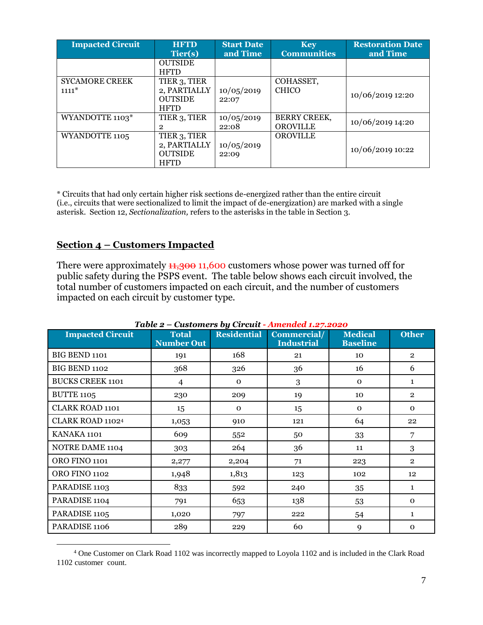| <b>Impacted Circuit</b>          | <b>HFTD</b><br>Tier(s)                                        | <b>Start Date</b><br>and Time | <b>Key</b><br><b>Communities</b>       | <b>Restoration Date</b><br>and Time |
|----------------------------------|---------------------------------------------------------------|-------------------------------|----------------------------------------|-------------------------------------|
|                                  | <b>OUTSIDE</b><br><b>HFTD</b>                                 |                               |                                        |                                     |
| <b>SYCAMORE CREEK</b><br>$1111*$ | TIER 3, TIER<br>2, PARTIALLY<br><b>OUTSIDE</b><br><b>HFTD</b> | 10/05/2019<br>22:07           | COHASSET,<br><b>CHICO</b>              | 10/06/2019 12:20                    |
| WYANDOTTE 1103*                  | TIER 3, TIER<br>2                                             | 10/05/2019<br>22:08           | <b>BERRY CREEK,</b><br><b>OROVILLE</b> | 10/06/2019 14:20                    |
| WYANDOTTE 1105                   | TIER 3, TIER<br>2, PARTIALLY<br><b>OUTSIDE</b><br><b>HFTD</b> | 10/05/2019<br>22:09           | <b>OROVILLE</b>                        | 10/06/2019 10:22                    |

\* Circuits that had only certain higher risk sections de-energized rather than the entire circuit (i.e., circuits that were sectionalized to limit the impact of de-energization) are marked with a single asterisk. Section 12, *Sectionalization,* refers to the asterisks in the table in Section 3.

#### **Section 4 – Customers Impacted**

 $\overline{a}$ 

There were approximately  $1,300$  11,600 customers whose power was turned off for public safety during the PSPS event. The table below shows each circuit involved, the total number of customers impacted on each circuit, and the number of customers impacted on each circuit by customer type.

| <b>Impacted Circuit</b> | <b>Total</b><br><b>Number Out</b> | <b>Residential</b> | Commercial/<br><b>Industrial</b> | <b>Medical</b><br><b>Baseline</b> | <b>Other</b>   |
|-------------------------|-----------------------------------|--------------------|----------------------------------|-----------------------------------|----------------|
| BIG BEND 1101           | 191                               | 168                | 21                               | 10                                | $\overline{2}$ |
| BIG BEND 1102           | 368                               | 326                | 36                               | 16                                | 6              |
| <b>BUCKS CREEK 1101</b> | $\overline{4}$                    | $\mathbf{O}$       | 3                                | $\mathbf{O}$                      | $\mathbf{1}$   |
| <b>BUTTE 1105</b>       | 230                               | 209                | 19                               | 10                                | $\overline{2}$ |
| CLARK ROAD 1101         | 15                                | $\Omega$           | 15                               | $\mathbf 0$                       | $\mathbf{O}$   |
| CLARK ROAD 11024        | 1,053                             | 910                | 121                              | 64                                | 22             |
| KANAKA 1101             | 609                               | 552                | 50                               | 33                                | 7              |
| NOTRE DAME 1104         | 303                               | 264                | 36                               | 11                                | 3              |
| <b>ORO FINO 1101</b>    | 2,277                             | 2,204              | 71                               | 223                               | $\overline{2}$ |
| <b>ORO FINO 1102</b>    | 1,948                             | 1,813              | 123                              | 102                               | 12             |
| PARADISE 1103           | 833                               | 592                | 240                              | 35                                | $\mathbf{1}$   |
| PARADISE 1104           | 791                               | 653                | 138                              | 53                                | $\mathbf{0}$   |
| PARADISE 1105           | 1,020                             | 797                | 222                              | 54                                | $\mathbf{1}$   |
| PARADISE 1106           | 289                               | 229                | 60                               | 9                                 | $\mathbf{0}$   |

#### *Table 2 – Customers by Circuit - Amended 1.27.2020*

<sup>4</sup> One Customer on Clark Road 1102 was incorrectly mapped to Loyola 1102 and is included in the Clark Road 1102 customer count.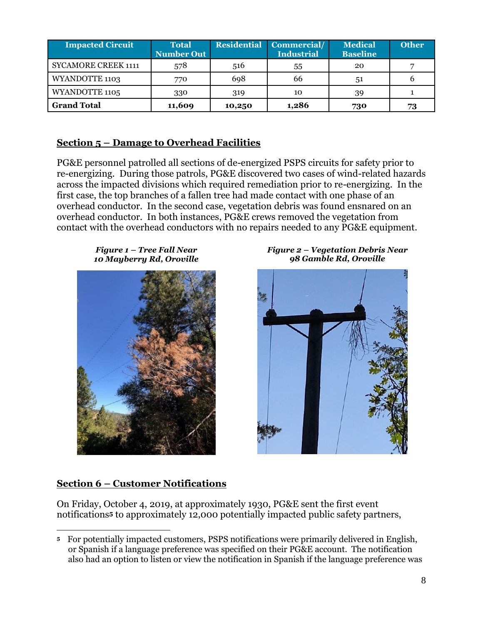| <b>Impacted Circuit</b>    | <b>Total</b><br><b>Number Out</b> |        | <b>Residential Commercial/</b><br>Industrial | <b>Medical</b><br><b>Baseline</b> | <b>Other</b> |
|----------------------------|-----------------------------------|--------|----------------------------------------------|-----------------------------------|--------------|
| <b>SYCAMORE CREEK 1111</b> | 578                               | 516    | 55                                           | 20                                |              |
| <b>WYANDOTTE 1103</b>      | 770                               | 698    | 66                                           | 51                                |              |
| WYANDOTTE 1105             | 330                               | 319    | 10                                           | 39                                |              |
| <b>Grand Total</b>         | 11,609                            | 10,250 | 1,286                                        | 730                               | 73           |

## **Section 5 – Damage to Overhead Facilities**

PG&E personnel patrolled all sections of de-energized PSPS circuits for safety prior to re-energizing. During those patrols, PG&E discovered two cases of wind-related hazards across the impacted divisions which required remediation prior to re-energizing. In the first case, the top branches of a fallen tree had made contact with one phase of an overhead conductor. In the second case, vegetation debris was found ensnared on an overhead conductor. In both instances, PG&E crews removed the vegetation from contact with the overhead conductors with no repairs needed to any PG&E equipment.

*Figure 1 – Tree Fall Near 10 Mayberry Rd, Oroville*



*Figure 2 – Vegetation Debris Near 98 Gamble Rd, Oroville*



## **Section 6 – Customer Notifications**

On Friday, October 4, 2019, at approximately 1930, PG&E sent the first event notifications**<sup>5</sup>** to approximately 12,000 potentially impacted public safety partners,

 $\overline{a}$ **<sup>5</sup>** For potentially impacted customers, PSPS notifications were primarily delivered in English, or Spanish if a language preference was specified on their PG&E account. The notification also had an option to listen or view the notification in Spanish if the language preference was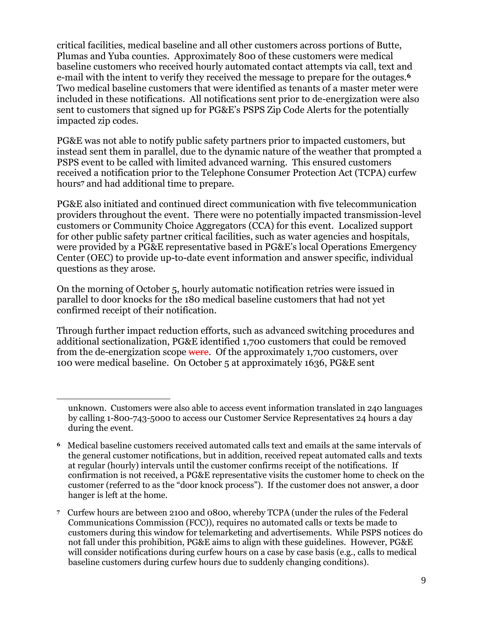critical facilities, medical baseline and all other customers across portions of Butte, Plumas and Yuba counties. Approximately 800 of these customers were medical baseline customers who received hourly automated contact attempts via call, text and e-mail with the intent to verify they received the message to prepare for the outages.**<sup>6</sup>** Two medical baseline customers that were identified as tenants of a master meter were included in these notifications. All notifications sent prior to de-energization were also sent to customers that signed up for PG&E's PSPS Zip Code Alerts for the potentially impacted zip codes.

PG&E was not able to notify public safety partners prior to impacted customers, but instead sent them in parallel, due to the dynamic nature of the weather that prompted a PSPS event to be called with limited advanced warning. This ensured customers received a notification prior to the Telephone Consumer Protection Act (TCPA) curfew hours**<sup>7</sup>** and had additional time to prepare.

PG&E also initiated and continued direct communication with five telecommunication providers throughout the event. There were no potentially impacted transmission-level customers or Community Choice Aggregators (CCA) for this event. Localized support for other public safety partner critical facilities, such as water agencies and hospitals, were provided by a PG&E representative based in PG&E's local Operations Emergency Center (OEC) to provide up-to-date event information and answer specific, individual questions as they arose.

On the morning of October 5, hourly automatic notification retries were issued in parallel to door knocks for the 180 medical baseline customers that had not yet confirmed receipt of their notification.

 $\overline{a}$ 

Through further impact reduction efforts, such as advanced switching procedures and additional sectionalization, PG&E identified 1,700 customers that could be removed from the de-energization scope were. Of the approximately 1,700 customers, over 100 were medical baseline. On October 5 at approximately 1636, PG&E sent

unknown. Customers were also able to access event information translated in 240 languages by calling 1-800-743-5000 to access our Customer Service Representatives 24 hours a day during the event.

**<sup>6</sup>** Medical baseline customers received automated calls text and emails at the same intervals of the general customer notifications, but in addition, received repeat automated calls and texts at regular (hourly) intervals until the customer confirms receipt of the notifications. If confirmation is not received, a PG&E representative visits the customer home to check on the customer (referred to as the "door knock process"). If the customer does not answer, a door hanger is left at the home.

**<sup>7</sup>** Curfew hours are between 2100 and 0800, whereby TCPA (under the rules of the Federal Communications Commission (FCC)), requires no automated calls or texts be made to customers during this window for telemarketing and advertisements. While PSPS notices do not fall under this prohibition, PG&E aims to align with these guidelines. However, PG&E will consider notifications during curfew hours on a case by case basis (e.g., calls to medical baseline customers during curfew hours due to suddenly changing conditions).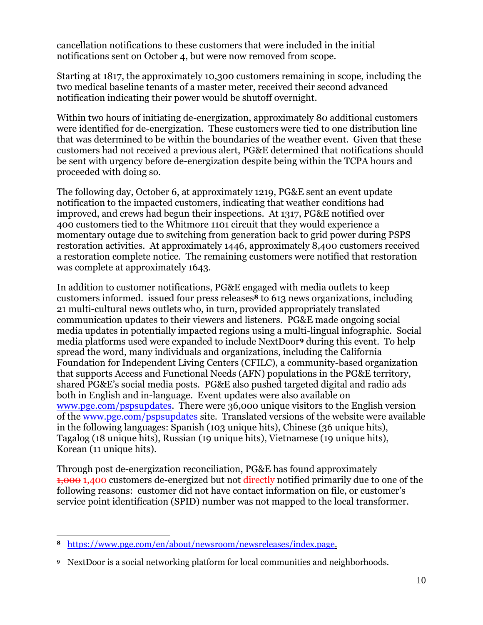cancellation notifications to these customers that were included in the initial notifications sent on October 4, but were now removed from scope.

Starting at 1817, the approximately 10,300 customers remaining in scope, including the two medical baseline tenants of a master meter, received their second advanced notification indicating their power would be shutoff overnight.

Within two hours of initiating de-energization, approximately 80 additional customers were identified for de-energization. These customers were tied to one distribution line that was determined to be within the boundaries of the weather event. Given that these customers had not received a previous alert, PG&E determined that notifications should be sent with urgency before de-energization despite being within the TCPA hours and proceeded with doing so.

The following day, October 6, at approximately 1219, PG&E sent an event update notification to the impacted customers, indicating that weather conditions had improved, and crews had begun their inspections. At 1317, PG&E notified over 400 customers tied to the Whitmore 1101 circuit that they would experience a momentary outage due to switching from generation back to grid power during PSPS restoration activities. At approximately 1446, approximately 8,400 customers received a restoration complete notice. The remaining customers were notified that restoration was complete at approximately 1643.

In addition to customer notifications, PG&E engaged with media outlets to keep customers informed. issued four press releases**<sup>8</sup>** to 613 news organizations, including 21 multi-cultural news outlets who, in turn, provided appropriately translated communication updates to their viewers and listeners. PG&E made ongoing social media updates in potentially impacted regions using a multi-lingual infographic. Social media platforms used were expanded to include NextDoor**<sup>9</sup>** during this event. To help spread the word, many individuals and organizations, including the California Foundation for Independent Living Centers (CFILC), a community-based organization that supports Access and Functional Needs (AFN) populations in the PG&E territory, shared PG&E's social media posts. PG&E also pushed targeted digital and radio ads both in English and in-language. Event updates were also available on [www.pge.com/pspsupdates.](http://www.pge.com/pspsupdates) There were 36,000 unique visitors to the English version of the [www.pge.com/pspsupdates](http://www.pge.com/pspsupdates) site. Translated versions of the website were available in the following languages: Spanish (103 unique hits), Chinese (36 unique hits), Tagalog (18 unique hits), Russian (19 unique hits), Vietnamese (19 unique hits), Korean (11 unique hits).

Through post de-energization reconciliation, PG&E has found approximately 1,000 1,400 customers de-energized but not directly notified primarily due to one of the following reasons: customer did not have contact information on file, or customer's service point identification (SPID) number was not mapped to the local transformer.

 $\overline{a}$ 

**<sup>8</sup>** [https://www.pge.com/en/about/newsroom/newsreleases/index.page.](https://www.pge.com/en/about/newsroom/newsreleases/index.page)

**<sup>9</sup>** NextDoor is a social networking platform for local communities and neighborhoods.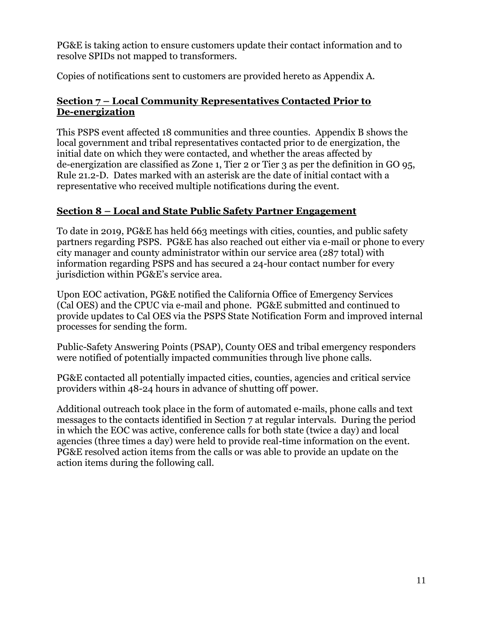PG&E is taking action to ensure customers update their contact information and to resolve SPIDs not mapped to transformers.

Copies of notifications sent to customers are provided hereto as Appendix A.

# **Section 7 – Local Community Representatives Contacted Prior to De-energization**

This PSPS event affected 18 communities and three counties. Appendix B shows the local government and tribal representatives contacted prior to de energization, the initial date on which they were contacted, and whether the areas affected by de-energization are classified as Zone 1, Tier 2 or Tier 3 as per the definition in GO 95, Rule 21.2-D. Dates marked with an asterisk are the date of initial contact with a representative who received multiple notifications during the event.

# **Section 8 – Local and State Public Safety Partner Engagement**

To date in 2019, PG&E has held 663 meetings with cities, counties, and public safety partners regarding PSPS. PG&E has also reached out either via e-mail or phone to every city manager and county administrator within our service area (287 total) with information regarding PSPS and has secured a 24-hour contact number for every jurisdiction within PG&E's service area.

Upon EOC activation, PG&E notified the California Office of Emergency Services (Cal OES) and the CPUC via e-mail and phone. PG&E submitted and continued to provide updates to Cal OES via the PSPS State Notification Form and improved internal processes for sending the form.

Public-Safety Answering Points (PSAP), County OES and tribal emergency responders were notified of potentially impacted communities through live phone calls.

PG&E contacted all potentially impacted cities, counties, agencies and critical service providers within 48-24 hours in advance of shutting off power.

Additional outreach took place in the form of automated e-mails, phone calls and text messages to the contacts identified in Section 7 at regular intervals. During the period in which the EOC was active, conference calls for both state (twice a day) and local agencies (three times a day) were held to provide real-time information on the event. PG&E resolved action items from the calls or was able to provide an update on the action items during the following call.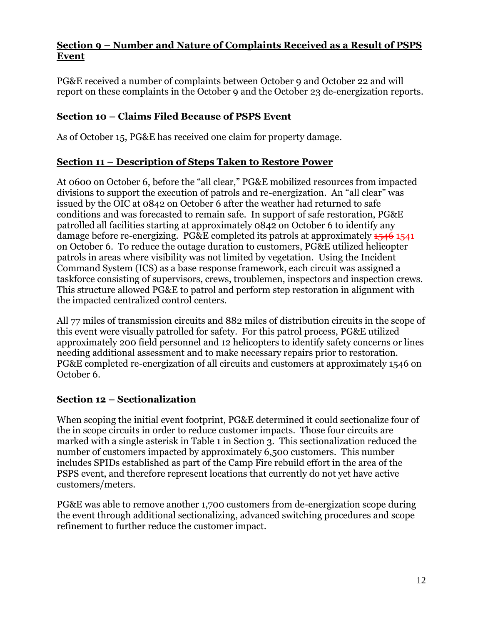## **Section 9 – Number and Nature of Complaints Received as a Result of PSPS Event**

PG&E received a number of complaints between October 9 and October 22 and will report on these complaints in the October 9 and the October 23 de-energization reports.

# **Section 10 – Claims Filed Because of PSPS Event**

As of October 15, PG&E has received one claim for property damage.

## **Section 11 – Description of Steps Taken to Restore Power**

At 0600 on October 6, before the "all clear," PG&E mobilized resources from impacted divisions to support the execution of patrols and re-energization. An "all clear" was issued by the OIC at 0842 on October 6 after the weather had returned to safe conditions and was forecasted to remain safe. In support of safe restoration, PG&E patrolled all facilities starting at approximately 0842 on October 6 to identify any damage before re-energizing. PG&E completed its patrols at approximately 1546 1541 on October 6. To reduce the outage duration to customers, PG&E utilized helicopter patrols in areas where visibility was not limited by vegetation. Using the Incident Command System (ICS) as a base response framework, each circuit was assigned a taskforce consisting of supervisors, crews, troublemen, inspectors and inspection crews. This structure allowed PG&E to patrol and perform step restoration in alignment with the impacted centralized control centers.

All 77 miles of transmission circuits and 882 miles of distribution circuits in the scope of this event were visually patrolled for safety. For this patrol process, PG&E utilized approximately 200 field personnel and 12 helicopters to identify safety concerns or lines needing additional assessment and to make necessary repairs prior to restoration. PG&E completed re-energization of all circuits and customers at approximately 1546 on October 6.

## **Section 12 – Sectionalization**

When scoping the initial event footprint, PG&E determined it could sectionalize four of the in scope circuits in order to reduce customer impacts. Those four circuits are marked with a single asterisk in Table 1 in Section 3. This sectionalization reduced the number of customers impacted by approximately 6,500 customers. This number includes SPIDs established as part of the Camp Fire rebuild effort in the area of the PSPS event, and therefore represent locations that currently do not yet have active customers/meters.

PG&E was able to remove another 1,700 customers from de-energization scope during the event through additional sectionalizing, advanced switching procedures and scope refinement to further reduce the customer impact.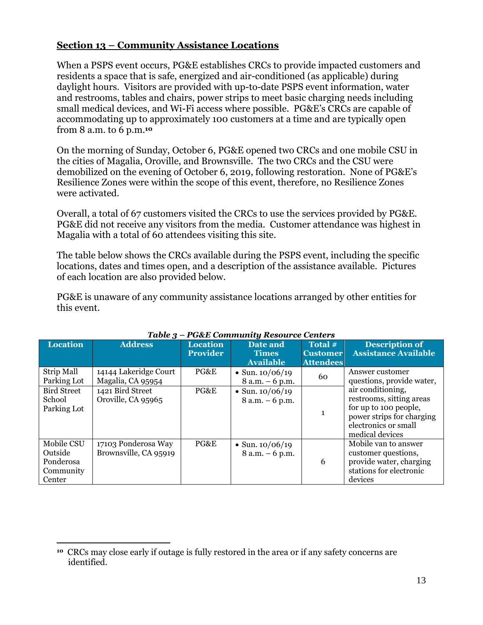## **Section 13 – Community Assistance Locations**

When a PSPS event occurs, PG&E establishes CRCs to provide impacted customers and residents a space that is safe, energized and air-conditioned (as applicable) during daylight hours. Visitors are provided with up-to-date PSPS event information, water and restrooms, tables and chairs, power strips to meet basic charging needs including small medical devices, and Wi-Fi access where possible. PG&E's CRCs are capable of accommodating up to approximately 100 customers at a time and are typically open from 8 a.m. to 6 p.m.**<sup>10</sup>**

On the morning of Sunday, October 6, PG&E opened two CRCs and one mobile CSU in the cities of Magalia, Oroville, and Brownsville. The two CRCs and the CSU were demobilized on the evening of October 6, 2019, following restoration. None of PG&E's Resilience Zones were within the scope of this event, therefore, no Resilience Zones were activated.

Overall, a total of 67 customers visited the CRCs to use the services provided by PG&E. PG&E did not receive any visitors from the media. Customer attendance was highest in Magalia with a total of 60 attendees visiting this site.

The table below shows the CRCs available during the PSPS event, including the specific locations, dates and times open, and a description of the assistance available. Pictures of each location are also provided below.

PG&E is unaware of any community assistance locations arranged by other entities for this event.

|                                                           | $1$ uvit $\cdot$<br>T Gull community nesource centers |                                    |                                              |                                                |                                                                                                                                                |  |
|-----------------------------------------------------------|-------------------------------------------------------|------------------------------------|----------------------------------------------|------------------------------------------------|------------------------------------------------------------------------------------------------------------------------------------------------|--|
| <b>Location</b>                                           | <b>Address</b>                                        | <b>Location</b><br><b>Provider</b> | Date and<br><b>Times</b><br><b>Available</b> | Total #<br><b>Customer</b><br><b>Attendees</b> | <b>Description of</b><br><b>Assistance Available</b>                                                                                           |  |
| Strip Mall<br>Parking Lot                                 | 14144 Lakeridge Court<br>Magalia, CA 95954            | PG&E                               | • Sun. $10/06/19$<br>$8 a.m. - 6 p.m.$       | 60                                             | Answer customer<br>questions, provide water,                                                                                                   |  |
| <b>Bird Street</b><br>School<br>Parking Lot               | 1421 Bird Street<br>Oroville, CA 95965                | PG&E                               | • Sun. $10/06/19$<br>$8 a.m. - 6 p.m.$       | $\mathbf{1}$                                   | air conditioning,<br>restrooms, sitting areas<br>for up to 100 people,<br>power strips for charging<br>electronics or small<br>medical devices |  |
| Mobile CSU<br>Outside<br>Ponderosa<br>Community<br>Center | 17103 Ponderosa Way<br>Brownsville, CA 95919          | PG&E                               | • Sun. $10/06/19$<br>$8 a.m. - 6 p.m.$       | 6                                              | Mobile van to answer<br>customer questions,<br>provide water, charging<br>stations for electronic<br>devices                                   |  |

#### *Table 3 – PG&E Community Resource Centers*

 $\overline{a}$ 

**<sup>10</sup>** CRCs may close early if outage is fully restored in the area or if any safety concerns are identified.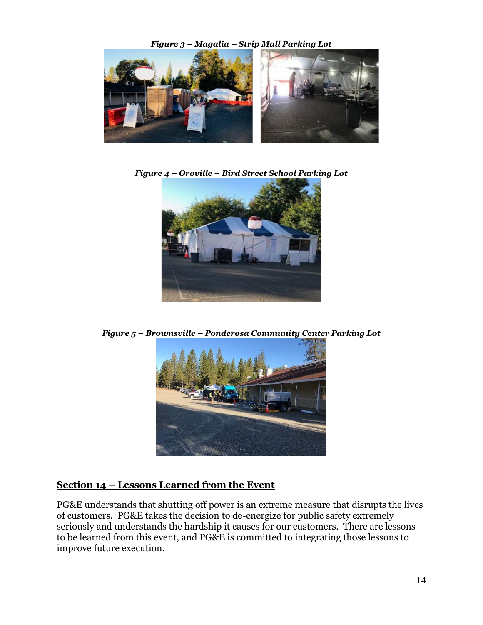

*Figure 4 – Oroville – Bird Street School Parking Lot*



*Figure 5 – Brownsville – Ponderosa Community Center Parking Lot*



# **Section 14 – Lessons Learned from the Event**

PG&E understands that shutting off power is an extreme measure that disrupts the lives of customers. PG&E takes the decision to de-energize for public safety extremely seriously and understands the hardship it causes for our customers. There are lessons to be learned from this event, and PG&E is committed to integrating those lessons to improve future execution.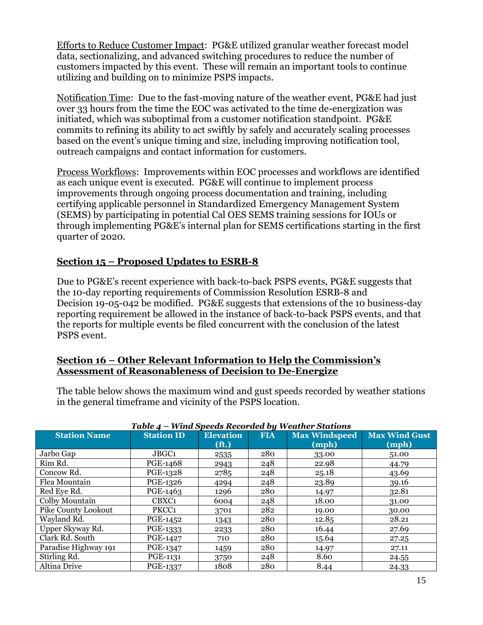Efforts to Reduce Customer Impact: PG&E utilized granular weather forecast model data, sectionalizing, and advanced switching procedures to reduce the number of customers impacted by this event. These will remain an important tools to continue utilizing and building on to minimize PSPS impacts.

Notification Time: Due to the fast-moving nature of the weather event, PG&E had just over 33 hours from the time the EOC was activated to the time de-energization was initiated, which was suboptimal from a customer notification standpoint. PG&E commits to refining its ability to act swiftly by safely and accurately scaling processes based on the event's unique timing and size, including improving notification tool, outreach campaigns and contact information for customers.

Process Workflows: Improvements within EOC processes and workflows are identified as each unique event is executed. PG&E will continue to implement process improvements through ongoing process documentation and training, including certifying applicable personnel in Standardized Emergency Management System (SEMS) by participating in potential Cal OES SEMS training sessions for IOUs or through implementing PG&E's internal plan for SEMS certifications starting in the first quarter of 2020.

## **Section 15 – Proposed Updates to ESRB-8**

Due to PG&E's recent experience with back-to-back PSPS events, PG&E suggests that the 10-day reporting requirements of Commission Resolution ESRB-8 and Decision 19-05-042 be modified. PG&E suggests that extensions of the 10 business-day reporting requirement be allowed in the instance of back-to-back PSPS events, and that the reports for multiple events be filed concurrent with the conclusion of the latest PSPS event.

### **Section 16 – Other Relevant Information to Help the Commission's Assessment of Reasonableness of Decision to De-Energize**

The table below shows the maximum wind and gust speeds recorded by weather stations in the general timeframe and vicinity of the PSPS location.

| Table 4 – Wind Speeds Recorded by Weather Stations |                   |                   |            |                      |                      |  |
|----------------------------------------------------|-------------------|-------------------|------------|----------------------|----------------------|--|
| <b>Station Name</b>                                | <b>Station ID</b> | <b>Elevation</b>  | <b>FIA</b> | <b>Max Windspeed</b> | <b>Max Wind Gust</b> |  |
|                                                    |                   | (f <sub>t</sub> ) |            | (mph)                | (mph)                |  |
| Jarbo Gap                                          | JBGC1             | 2535              | 280        | 33.00                | 51.00                |  |
| Rim Rd.                                            | PGE-1468          | 2943              | 248        | 22.98                | 44.79                |  |
| Concow Rd.                                         | PGE-1328          | 2785              | 248        | 25.18                | 43.69                |  |
| Flea Mountain                                      | PGE-1326          | 4294              | 248        | 23.89                | 39.16                |  |
| Red Eye Rd.                                        | PGE-1463          | 1296              | 280        | 14.97                | 32.81                |  |
| Colby Mountain                                     | CBXC1             | 6004              | 248        | 18.00                | 31.00                |  |
| Pike County Lookout                                | PKCC <sub>1</sub> | 3701              | 282        | 19.00                | 30.00                |  |
| Wayland Rd.                                        | PGE-1452          | 1343              | 280        | 12.85                | 28.21                |  |
| Upper Skyway Rd.                                   | PGE-1333          | 2233              | 280        | 16.44                | 27.69                |  |
| Clark Rd. South                                    | PGE-1427          | 710               | 280        | 15.64                | 27.25                |  |
| Paradise Highway 191                               | PGE-1347          | 1459              | 280        | 14.97                | 27.11                |  |
| Stirling Rd.                                       | PGE-1131          | 3750              | 248        | 8.60                 | 24.55                |  |
| Altina Drive                                       | PGE-1337          | 1808              | 280        | 8.44                 | 24.33                |  |

#### *Table 4 – Wind Speeds Recorded by Weather Stations*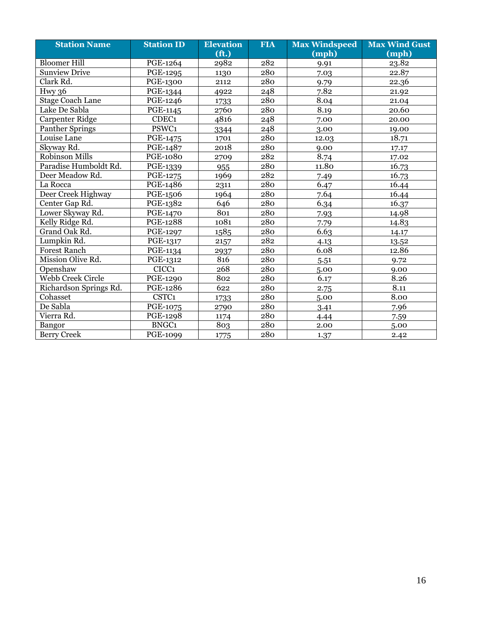| <b>Station Name</b>     | <b>Station ID</b> | <b>Elevation</b>  | <b>FIA</b> | <b>Max Windspeed</b> | <b>Max Wind Gust</b> |
|-------------------------|-------------------|-------------------|------------|----------------------|----------------------|
|                         |                   | (f <sub>t</sub> ) |            | (mph)                | (mph)                |
| <b>Bloomer Hill</b>     | PGE-1264          | 2982              | 282        | 9.91                 | 23.82                |
| <b>Sunview Drive</b>    | PGE-1295          | 1130              | 280        | 7.03                 | 22.87                |
| Clark Rd.               | PGE-1300          | 2112              | 280        | 9.79                 | 22.36                |
| Hwy 36                  | PGE-1344          | 4922              | 248        | 7.82                 | 21.92                |
| <b>Stage Coach Lane</b> | PGE-1246          | 1733              | 280        | 8.04                 | 21.04                |
| Lake De Sabla           | PGE-1145          | 2760              | 280        | 8.19                 | 20.60                |
| Carpenter Ridge         | CDEC1             | 4816              | 248        | 7.00                 | 20.00                |
| <b>Panther Springs</b>  | PSWC1             | 3344              | 248        | 3.00                 | 19.00                |
| Louise Lane             | <b>PGE-1475</b>   | 1701              | 280        | 12.03                | 18.71                |
| Skyway Rd.              | PGE-1487          | 2018              | 280        | 9.00                 | 17.17                |
| Robinson Mills          | <b>PGE-1080</b>   | 2709              | 282        | 8.74                 | 17.02                |
| Paradise Humboldt Rd.   | PGE-1339          | 955               | 280        | 11.80                | 16.73                |
| Deer Meadow Rd.         | PGE-1275          | 1969              | 282        | 7.49                 | 16.73                |
| La Rocca                | PGE-1486          | 2311              | 280        | 6.47                 | 16.44                |
| Deer Creek Highway      | PGE-1506          | 1964              | 280        | 7.64                 | 16.44                |
| Center Gap Rd.          | PGE-1382          | 646               | 280        | 6.34                 | 16.37                |
| Lower Skyway Rd.        | <b>PGE-1470</b>   | 801               | 280        | 7.93                 | 14.98                |
| Kelly Ridge Rd.         | PGE-1288          | 1081              | 280        | 7.79                 | 14.83                |
| Grand Oak Rd.           | PGE-1297          | 1585              | 280        | 6.63                 | 14.17                |
| Lumpkin Rd.             | PGE-1317          | 2157              | 282        | 4.13                 | 13.52                |
| <b>Forest Ranch</b>     | PGE-1134          | 2937              | 280        | 6.08                 | 12.86                |
| Mission Olive Rd.       | PGE-1312          | 816               | 280        | 5.51                 | 9.72                 |
| Openshaw                | CICC1             | 268               | 280        | 5.00                 | 9.00                 |
| Webb Creek Circle       | PGE-1290          | 802               | 280        | 6.17                 | 8.26                 |
| Richardson Springs Rd.  | PGE-1286          | 622               | 280        | 2.75                 | 8.11                 |
| Cohasset                | CSTC <sub>1</sub> | 1733              | 280        | 5.00                 | 8.00                 |
| De Sabla                | PGE-1075          | 2790              | 280        | 3.41                 | 7.96                 |
| Vierra Rd.              | PGE-1298          | 1174              | 280        | 4.44                 | 7.59                 |
| Bangor                  | <b>BNGC1</b>      | 803               | 280        | 2.00                 | 5.00                 |
| <b>Berry Creek</b>      | PGE-1099          | 1775              | 280        | 1.37                 | 2.42                 |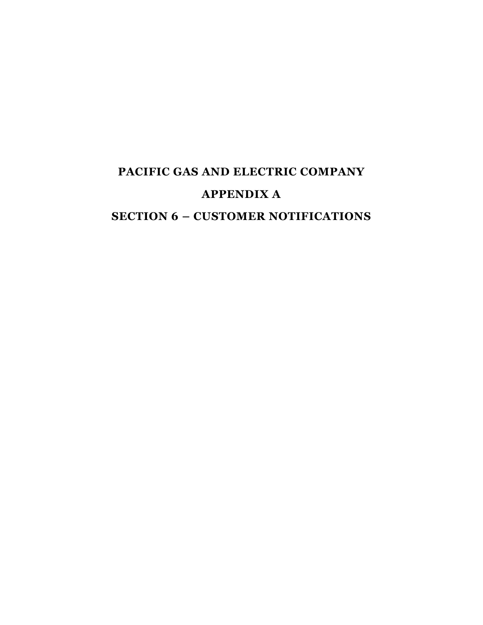# **PACIFIC GAS AND ELECTRIC COMPANY APPENDIX A SECTION 6 – CUSTOMER NOTIFICATIONS**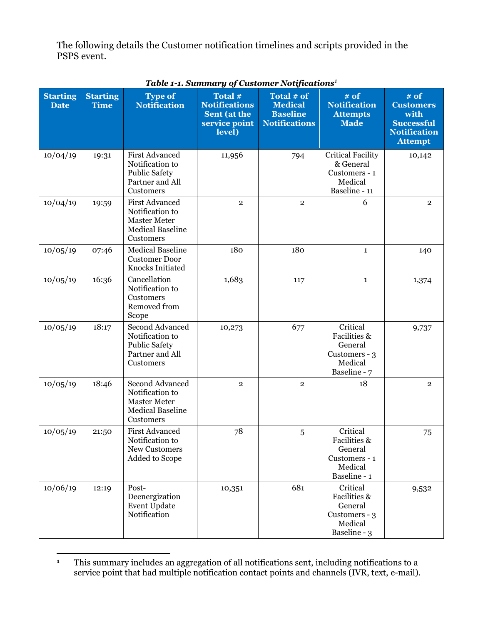The following details the Customer notification timelines and scripts provided in the PSPS event.

| <b>Starting</b><br><b>Date</b> | <b>Starting</b><br><b>Time</b> | <b>Type of</b><br><b>Notification</b>                                                                   | Total #<br><b>Notifications</b><br>Sent (at the<br>service point<br>level) | Total # of<br><b>Medical</b><br><b>Baseline</b><br><b>Notifications</b> | $#$ of<br><b>Notification</b><br><b>Attempts</b><br><b>Made</b>                 | # of<br><b>Customers</b><br>with<br><b>Successful</b><br><b>Notification</b><br><b>Attempt</b> |
|--------------------------------|--------------------------------|---------------------------------------------------------------------------------------------------------|----------------------------------------------------------------------------|-------------------------------------------------------------------------|---------------------------------------------------------------------------------|------------------------------------------------------------------------------------------------|
| 10/04/19                       | 19:31                          | <b>First Advanced</b><br>Notification to<br><b>Public Safety</b><br>Partner and All<br>Customers        | 11,956                                                                     | 794                                                                     | Critical Facility<br>& General<br>Customers - 1<br>Medical<br>Baseline - 11     | 10,142                                                                                         |
| 10/04/19                       | 19:59                          | <b>First Advanced</b><br>Notification to<br><b>Master Meter</b><br><b>Medical Baseline</b><br>Customers | $\mathbf{2}$                                                               | $\mathbf{2}$                                                            | 6                                                                               | $\overline{2}$                                                                                 |
| 10/05/19                       | 07:46                          | <b>Medical Baseline</b><br><b>Customer Door</b><br>Knocks Initiated                                     | 180                                                                        | 180                                                                     | $\mathbf{1}$                                                                    | 140                                                                                            |
| 10/05/19                       | 16:36                          | Cancellation<br>Notification to<br>Customers<br>Removed from<br>Scope                                   | 1,683                                                                      | 117                                                                     | $\mathbf{1}$                                                                    | 1,374                                                                                          |
| 10/05/19                       | 18:17                          | <b>Second Advanced</b><br>Notification to<br><b>Public Safety</b><br>Partner and All<br>Customers       | 10,273                                                                     | 677                                                                     | Critical<br>Facilities &<br>General<br>Customers - 3<br>Medical<br>Baseline - 7 | 9,737                                                                                          |
| 10/05/19                       | 18:46                          | Second Advanced<br>Notification to<br><b>Master Meter</b><br><b>Medical Baseline</b><br>Customers       | $\overline{2}$                                                             | $\mathbf{2}$                                                            | 18                                                                              | $\overline{2}$                                                                                 |
| 10/05/19                       | 21:50                          | <b>First Advanced</b><br>Notification to<br>New Customers<br>Added to Scope                             | 78                                                                         | 5                                                                       | Critical<br>Facilities &<br>General<br>Customers - 1<br>Medical<br>Baseline - 1 | 75                                                                                             |
| 10/06/19                       | 12:19                          | Post-<br>Deenergization<br><b>Event Update</b><br>Notification                                          | 10,351                                                                     | 681                                                                     | Critical<br>Facilities &<br>General<br>Customers - 3<br>Medical<br>Baseline - 3 | 9,532                                                                                          |

## *Table 1-1. Summary of Customer Notifications<sup>1</sup>*

 $\overline{a}$ **<sup>1</sup>** This summary includes an aggregation of all notifications sent, including notifications to a service point that had multiple notification contact points and channels (IVR, text, e-mail).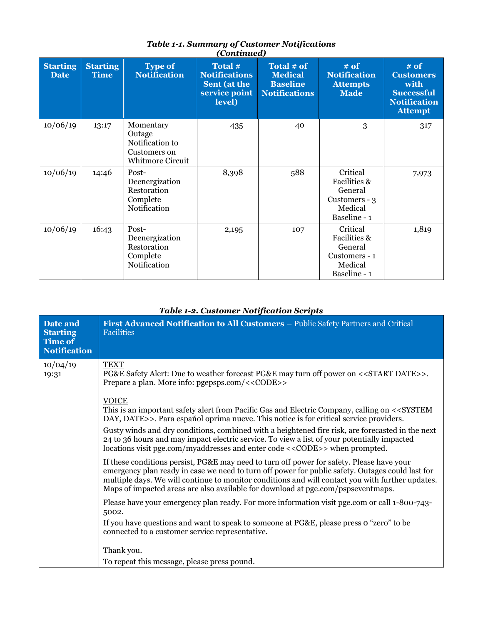| <b>Starting</b><br><b>Date</b> | <b>Starting</b><br><b>Time</b> | <b>Type of</b><br><b>Notification</b>                                             | Total #<br><b>Notifications</b><br>Sent (at the<br>service point<br>level) | Total # of<br><b>Medical</b><br><b>Baseline</b><br><b>Notifications</b> | # of<br><b>Notification</b><br><b>Attempts</b><br><b>Made</b>                   | # of<br><b>Customers</b><br>with<br><b>Successful</b><br><b>Notification</b><br><b>Attempt</b> |
|--------------------------------|--------------------------------|-----------------------------------------------------------------------------------|----------------------------------------------------------------------------|-------------------------------------------------------------------------|---------------------------------------------------------------------------------|------------------------------------------------------------------------------------------------|
| 10/06/19                       | 13:17                          | Momentary<br>Outage<br>Notification to<br>Customers on<br><b>Whitmore Circuit</b> | 435                                                                        | 40                                                                      | 3                                                                               | 317                                                                                            |
| 10/06/19                       | 14:46                          | Post-<br>Deenergization<br>Restoration<br>Complete<br>Notification                | 8,398                                                                      | 588                                                                     | Critical<br>Facilities &<br>General<br>Customers - 3<br>Medical<br>Baseline - 1 | 7,973                                                                                          |
| 10/06/19                       | 16:43                          | Post-<br>Deenergization<br>Restoration<br>Complete<br>Notification                | 2,195                                                                      | 107                                                                     | Critical<br>Facilities &<br>General<br>Customers - 1<br>Medical<br>Baseline - 1 | 1,819                                                                                          |

#### *Table 1-1. Summary of Customer Notifications (Continued)*

## *Table 1-2. Customer Notification Scripts*

| Date and<br><b>Starting</b><br><b>Time of</b><br><b>Notification</b> | First Advanced Notification to All Customers - Public Safety Partners and Critical<br><b>Facilities</b>                                                                                                                                                                                                                                                                               |
|----------------------------------------------------------------------|---------------------------------------------------------------------------------------------------------------------------------------------------------------------------------------------------------------------------------------------------------------------------------------------------------------------------------------------------------------------------------------|
| 10/04/19<br>19:31                                                    | <b>TEXT</b><br>PG&E Safety Alert: Due to weather forecast PG&E may turn off power on < <start date="">&gt;.<br/>Prepare a plan. More info: pgepsps.com/&lt;<code>&gt;</code></start>                                                                                                                                                                                                  |
|                                                                      | <b>VOICE</b><br>This is an important safety alert from Pacific Gas and Electric Company, calling on < <system<br>DAY, DATE&gt;&gt;. Para español oprima nueve. This notice is for critical service providers.</system<br>                                                                                                                                                             |
|                                                                      | Gusty winds and dry conditions, combined with a heightened fire risk, are forecasted in the next<br>24 to 36 hours and may impact electric service. To view a list of your potentially impacted<br>locations visit pge.com/myaddresses and enter code < <code>&gt; when prompted.</code>                                                                                              |
|                                                                      | If these conditions persist, PG&E may need to turn off power for safety. Please have your<br>emergency plan ready in case we need to turn off power for public safety. Outages could last for<br>multiple days. We will continue to monitor conditions and will contact you with further updates.<br>Maps of impacted areas are also available for download at pge.com/pspseventmaps. |
|                                                                      | Please have your emergency plan ready. For more information visit pge.com or call 1-800-743-<br>5002.                                                                                                                                                                                                                                                                                 |
|                                                                      | If you have questions and want to speak to someone at PG&E, please press o "zero" to be<br>connected to a customer service representative.                                                                                                                                                                                                                                            |
|                                                                      | Thank you.                                                                                                                                                                                                                                                                                                                                                                            |
|                                                                      | To repeat this message, please press pound.                                                                                                                                                                                                                                                                                                                                           |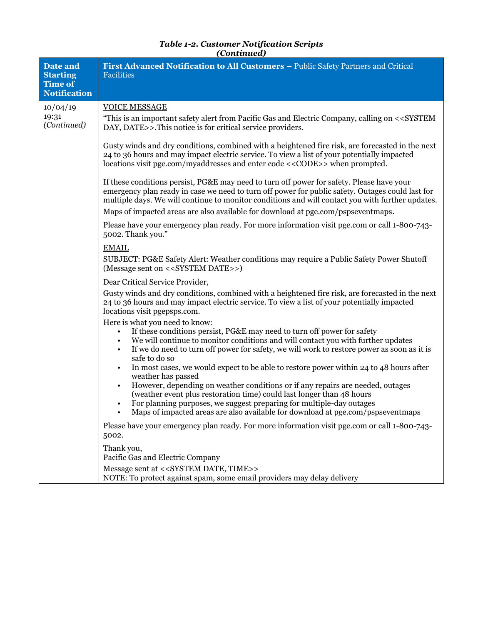| <b>Table 1-2. Customer Notification Scripts</b> |
|-------------------------------------------------|
| (Continued)                                     |

| Date and<br><b>Starting</b><br>Time of<br><b>Notification</b> | First Advanced Notification to All Customers - Public Safety Partners and Critical<br><b>Facilities</b>                                                                                                                                                                                                                         |
|---------------------------------------------------------------|---------------------------------------------------------------------------------------------------------------------------------------------------------------------------------------------------------------------------------------------------------------------------------------------------------------------------------|
| 10/04/19                                                      | <b>VOICE MESSAGE</b>                                                                                                                                                                                                                                                                                                            |
| 19:31<br>(Continued)                                          | "This is an important safety alert from Pacific Gas and Electric Company, calling on < <system<br>DAY, DATE&gt;&gt;. This notice is for critical service providers.</system<br>                                                                                                                                                 |
|                                                               | Gusty winds and dry conditions, combined with a heightened fire risk, are forecasted in the next<br>24 to 36 hours and may impact electric service. To view a list of your potentially impacted<br>locations visit pge.com/myaddresses and enter code < <code>&gt; when prompted.</code>                                        |
|                                                               | If these conditions persist, PG&E may need to turn off power for safety. Please have your<br>emergency plan ready in case we need to turn off power for public safety. Outages could last for<br>multiple days. We will continue to monitor conditions and will contact you with further updates.                               |
|                                                               | Maps of impacted areas are also available for download at pge.com/pspseventmaps.                                                                                                                                                                                                                                                |
|                                                               | Please have your emergency plan ready. For more information visit pge.com or call 1-800-743-<br>5002. Thank you."                                                                                                                                                                                                               |
|                                                               | <b>EMAIL</b>                                                                                                                                                                                                                                                                                                                    |
|                                                               | SUBJECT: PG&E Safety Alert: Weather conditions may require a Public Safety Power Shutoff<br>(Message sent on < <system date="">&gt;)</system>                                                                                                                                                                                   |
|                                                               | Dear Critical Service Provider,                                                                                                                                                                                                                                                                                                 |
|                                                               | Gusty winds and dry conditions, combined with a heightened fire risk, are forecasted in the next<br>24 to 36 hours and may impact electric service. To view a list of your potentially impacted<br>locations visit pgepsps.com.                                                                                                 |
|                                                               | Here is what you need to know:                                                                                                                                                                                                                                                                                                  |
|                                                               | If these conditions persist, PG&E may need to turn off power for safety<br>$\bullet$<br>We will continue to monitor conditions and will contact you with further updates<br>If we do need to turn off power for safety, we will work to restore power as soon as it is<br>safe to do so                                         |
|                                                               | In most cases, we would expect to be able to restore power within 24 to 48 hours after<br>$\bullet$<br>weather has passed                                                                                                                                                                                                       |
|                                                               | However, depending on weather conditions or if any repairs are needed, outages<br>$\bullet$<br>(weather event plus restoration time) could last longer than 48 hours<br>For planning purposes, we suggest preparing for multiple-day outages<br>Maps of impacted areas are also available for download at pge.com/pspseventmaps |
|                                                               | Please have your emergency plan ready. For more information visit pge.com or call 1-800-743-<br>5002.                                                                                                                                                                                                                           |
|                                                               | Thank you,<br>Pacific Gas and Electric Company                                                                                                                                                                                                                                                                                  |
|                                                               | Message sent at < <system date,="" time="">&gt;<br/>NOTE: To protect against spam, some email providers may delay delivery</system>                                                                                                                                                                                             |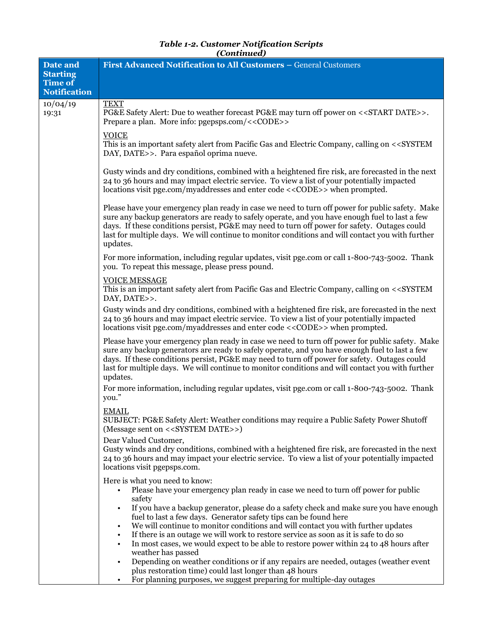| Date and                                                 | (Continuutu)<br>First Advanced Notification to All Customers - General Customers                                                                                                                                                                                                                                                                                                                                                                                                                                                                                                                                                                          |
|----------------------------------------------------------|-----------------------------------------------------------------------------------------------------------------------------------------------------------------------------------------------------------------------------------------------------------------------------------------------------------------------------------------------------------------------------------------------------------------------------------------------------------------------------------------------------------------------------------------------------------------------------------------------------------------------------------------------------------|
| <b>Starting</b><br><b>Time of</b><br><b>Notification</b> |                                                                                                                                                                                                                                                                                                                                                                                                                                                                                                                                                                                                                                                           |
|                                                          |                                                                                                                                                                                                                                                                                                                                                                                                                                                                                                                                                                                                                                                           |
| 10/04/19<br>19:31                                        | <b>TEXT</b><br>PG&E Safety Alert: Due to weather forecast PG&E may turn off power on < <start date="">&gt;.<br/>Prepare a plan. More info: pgepsps.com/&lt;<code>&gt;</code></start>                                                                                                                                                                                                                                                                                                                                                                                                                                                                      |
|                                                          | <b>VOICE</b><br>This is an important safety alert from Pacific Gas and Electric Company, calling on < <system<br>DAY, DATE&gt;&gt;. Para español oprima nueve.</system<br>                                                                                                                                                                                                                                                                                                                                                                                                                                                                                |
|                                                          | Gusty winds and dry conditions, combined with a heightened fire risk, are forecasted in the next<br>24 to 36 hours and may impact electric service. To view a list of your potentially impacted<br>locations visit pge.com/myaddresses and enter code < <code>&gt; when prompted.</code>                                                                                                                                                                                                                                                                                                                                                                  |
|                                                          | Please have your emergency plan ready in case we need to turn off power for public safety. Make<br>sure any backup generators are ready to safely operate, and you have enough fuel to last a few<br>days. If these conditions persist, PG&E may need to turn off power for safety. Outages could<br>last for multiple days. We will continue to monitor conditions and will contact you with further<br>updates.                                                                                                                                                                                                                                         |
|                                                          | For more information, including regular updates, visit pge.com or call 1-800-743-5002. Thank<br>you. To repeat this message, please press pound.                                                                                                                                                                                                                                                                                                                                                                                                                                                                                                          |
|                                                          | <b>VOICE MESSAGE</b><br>This is an important safety alert from Pacific Gas and Electric Company, calling on < <system<br>DAY, DATE&gt;&gt;.</system<br>                                                                                                                                                                                                                                                                                                                                                                                                                                                                                                   |
|                                                          | Gusty winds and dry conditions, combined with a heightened fire risk, are forecasted in the next<br>24 to 36 hours and may impact electric service. To view a list of your potentially impacted<br>locations visit pge.com/myaddresses and enter code < <code>&gt; when prompted.</code>                                                                                                                                                                                                                                                                                                                                                                  |
|                                                          | Please have your emergency plan ready in case we need to turn off power for public safety. Make<br>sure any backup generators are ready to safely operate, and you have enough fuel to last a few<br>days. If these conditions persist, PG&E may need to turn off power for safety. Outages could<br>last for multiple days. We will continue to monitor conditions and will contact you with further<br>updates.                                                                                                                                                                                                                                         |
|                                                          | For more information, including regular updates, visit pge.com or call 1-800-743-5002. Thank<br>you."                                                                                                                                                                                                                                                                                                                                                                                                                                                                                                                                                     |
|                                                          | <b>EMAIL</b><br>SUBJECT: PG&E Safety Alert: Weather conditions may require a Public Safety Power Shutoff<br>(Message sent on < <system date="">&gt;)</system>                                                                                                                                                                                                                                                                                                                                                                                                                                                                                             |
|                                                          | Dear Valued Customer,<br>Gusty winds and dry conditions, combined with a heightened fire risk, are forecasted in the next<br>24 to 36 hours and may impact your electric service. To view a list of your potentially impacted<br>locations visit pgepsps.com.                                                                                                                                                                                                                                                                                                                                                                                             |
|                                                          | Here is what you need to know:<br>Please have your emergency plan ready in case we need to turn off power for public<br>safety                                                                                                                                                                                                                                                                                                                                                                                                                                                                                                                            |
|                                                          | If you have a backup generator, please do a safety check and make sure you have enough<br>$\bullet$<br>fuel to last a few days. Generator safety tips can be found here<br>We will continue to monitor conditions and will contact you with further updates<br>٠<br>If there is an outage we will work to restore service as soon as it is safe to do so<br>$\bullet$<br>In most cases, we would expect to be able to restore power within 24 to 48 hours after<br>$\bullet$<br>weather has passed<br>Depending on weather conditions or if any repairs are needed, outages (weather event<br>٠<br>plus restoration time) could last longer than 48 hours |
|                                                          | For planning purposes, we suggest preparing for multiple-day outages<br>$\bullet$                                                                                                                                                                                                                                                                                                                                                                                                                                                                                                                                                                         |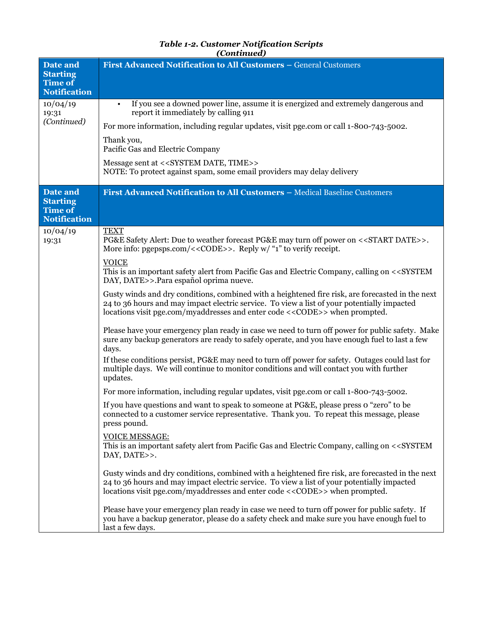| Date and<br><b>Starting</b><br><b>Time of</b><br><b>Notification</b> | First Advanced Notification to All Customers - General Customers                                                                                                                                                                                                                         |
|----------------------------------------------------------------------|------------------------------------------------------------------------------------------------------------------------------------------------------------------------------------------------------------------------------------------------------------------------------------------|
| 10/04/19<br>19:31<br>(Continued)                                     | If you see a downed power line, assume it is energized and extremely dangerous and<br>$\bullet$<br>report it immediately by calling 911                                                                                                                                                  |
|                                                                      | For more information, including regular updates, visit pge.com or call 1-800-743-5002.                                                                                                                                                                                                   |
|                                                                      | Thank you,<br>Pacific Gas and Electric Company                                                                                                                                                                                                                                           |
|                                                                      | Message sent at < <system date,="" time="">&gt;<br/>NOTE: To protect against spam, some email providers may delay delivery</system>                                                                                                                                                      |
| Date and<br><b>Starting</b><br>Time of<br><b>Notification</b>        | First Advanced Notification to All Customers - Medical Baseline Customers                                                                                                                                                                                                                |
| 10/04/19<br>19:31                                                    | <b>TEXT</b><br>PG&E Safety Alert: Due to weather forecast PG&E may turn off power on < <start date="">&gt;.<br/>More info: pgepsps.com/&lt;<code>&gt;. Reply w/ "1" to verify receipt.</code></start>                                                                                    |
|                                                                      | <b>VOICE</b><br>This is an important safety alert from Pacific Gas and Electric Company, calling on < <system<br>DAY, DATE&gt;&gt;.Para español oprima nueve.</system<br>                                                                                                                |
|                                                                      | Gusty winds and dry conditions, combined with a heightened fire risk, are forecasted in the next<br>24 to 36 hours and may impact electric service. To view a list of your potentially impacted<br>locations visit pge.com/myaddresses and enter code < <code>&gt; when prompted.</code> |
|                                                                      | Please have your emergency plan ready in case we need to turn off power for public safety. Make<br>sure any backup generators are ready to safely operate, and you have enough fuel to last a few<br>days.                                                                               |
|                                                                      | If these conditions persist, PG&E may need to turn off power for safety. Outages could last for<br>multiple days. We will continue to monitor conditions and will contact you with further<br>updates.                                                                                   |
|                                                                      | For more information, including regular updates, visit pge.com or call 1-800-743-5002.                                                                                                                                                                                                   |
|                                                                      | If you have questions and want to speak to someone at PG&E, please press o "zero" to be<br>connected to a customer service representative. Thank you. To repeat this message, please<br>press pound.                                                                                     |
|                                                                      | VOICE MESSAGE:<br>This is an important safety alert from Pacific Gas and Electric Company, calling on < <system<br>DAY, DATE&gt;&gt;.</system<br>                                                                                                                                        |
|                                                                      | Gusty winds and dry conditions, combined with a heightened fire risk, are forecasted in the next<br>24 to 36 hours and may impact electric service. To view a list of your potentially impacted<br>locations visit pge.com/myaddresses and enter code < <code>&gt; when prompted.</code> |
|                                                                      | Please have your emergency plan ready in case we need to turn off power for public safety. If<br>you have a backup generator, please do a safety check and make sure you have enough fuel to<br>last a few days.                                                                         |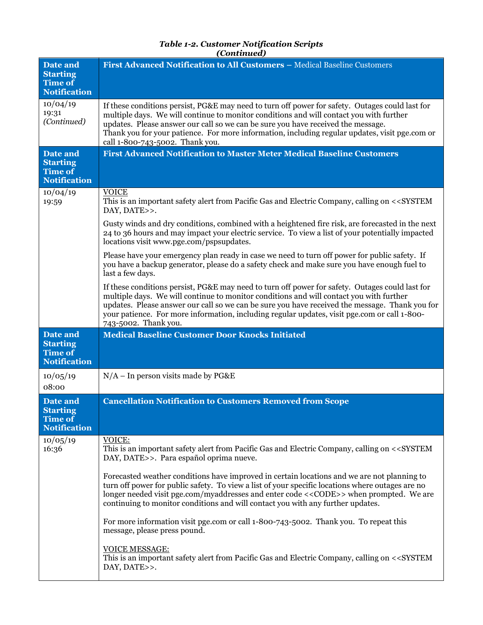| Date and<br><b>Starting</b><br><b>Time of</b><br><b>Notification</b> | First Advanced Notification to All Customers - Medical Baseline Customers                                                                                                                                                                                                                                                                                                                                                                                                                                                                                                                                                                                                                                                                                                                                                                                                                                                                                                                                                                                      |
|----------------------------------------------------------------------|----------------------------------------------------------------------------------------------------------------------------------------------------------------------------------------------------------------------------------------------------------------------------------------------------------------------------------------------------------------------------------------------------------------------------------------------------------------------------------------------------------------------------------------------------------------------------------------------------------------------------------------------------------------------------------------------------------------------------------------------------------------------------------------------------------------------------------------------------------------------------------------------------------------------------------------------------------------------------------------------------------------------------------------------------------------|
| 10/04/19<br>19:31<br>(Continued)                                     | If these conditions persist, PG&E may need to turn off power for safety. Outages could last for<br>multiple days. We will continue to monitor conditions and will contact you with further<br>updates. Please answer our call so we can be sure you have received the message.<br>Thank you for your patience. For more information, including regular updates, visit pge.com or<br>call 1-800-743-5002. Thank you.                                                                                                                                                                                                                                                                                                                                                                                                                                                                                                                                                                                                                                            |
| Date and<br><b>Starting</b><br><b>Time of</b><br><b>Notification</b> | <b>First Advanced Notification to Master Meter Medical Baseline Customers</b>                                                                                                                                                                                                                                                                                                                                                                                                                                                                                                                                                                                                                                                                                                                                                                                                                                                                                                                                                                                  |
| 10/04/19<br>19:59                                                    | <b>VOICE</b><br>This is an important safety alert from Pacific Gas and Electric Company, calling on < <system<br>DAY, DATE&gt;&gt;.<br/>Gusty winds and dry conditions, combined with a heightened fire risk, are forecasted in the next<br/>24 to 36 hours and may impact your electric service. To view a list of your potentially impacted<br/>locations visit www.pge.com/pspsupdates.<br/>Please have your emergency plan ready in case we need to turn off power for public safety. If<br/>you have a backup generator, please do a safety check and make sure you have enough fuel to<br/>last a few days.<br/>If these conditions persist, PG&amp;E may need to turn off power for safety. Outages could last for<br/>multiple days. We will continue to monitor conditions and will contact you with further<br/>updates. Please answer our call so we can be sure you have received the message. Thank you for<br/>your patience. For more information, including regular updates, visit pge.com or call 1-800-<br/>743-5002. Thank you.</system<br> |
| Date and<br><b>Starting</b><br><b>Time of</b><br><b>Notification</b> | <b>Medical Baseline Customer Door Knocks Initiated</b>                                                                                                                                                                                                                                                                                                                                                                                                                                                                                                                                                                                                                                                                                                                                                                                                                                                                                                                                                                                                         |
| 10/05/19<br>08:00                                                    | $N/A$ – In person visits made by PG&E                                                                                                                                                                                                                                                                                                                                                                                                                                                                                                                                                                                                                                                                                                                                                                                                                                                                                                                                                                                                                          |
| <b>Date and</b><br><b>Starting</b><br>Time of<br><b>Notification</b> | <b>Cancellation Notification to Customers Removed from Scope</b>                                                                                                                                                                                                                                                                                                                                                                                                                                                                                                                                                                                                                                                                                                                                                                                                                                                                                                                                                                                               |
| 10/05/19<br>16:36                                                    | VOICE:<br>This is an important safety alert from Pacific Gas and Electric Company, calling on < <system<br>DAY, DATE&gt;&gt;. Para español oprima nueve.<br/>Forecasted weather conditions have improved in certain locations and we are not planning to<br/>turn off power for public safety. To view a list of your specific locations where outages are no<br/>longer needed visit pge.com/myaddresses and enter code &lt;<code>&gt; when prompted. We are<br/>continuing to monitor conditions and will contact you with any further updates.<br/>For more information visit pge.com or call 1-800-743-5002. Thank you. To repeat this<br/>message, please press pound.<br/><b>VOICE MESSAGE:</b><br/>This is an important safety alert from Pacific Gas and Electric Company, calling on &lt;<system<br>DAY, DATE&gt;&gt;.</system<br></code></system<br>                                                                                                                                                                                                 |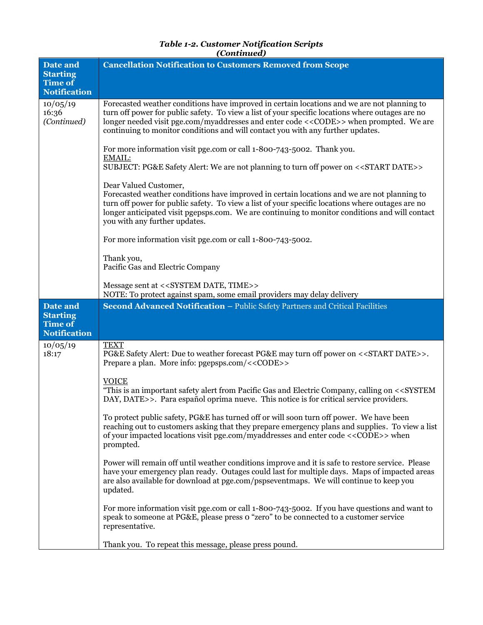| (Continued)                                                          |                                                                                                                                                                                                                                                                                                                                                                                         |
|----------------------------------------------------------------------|-----------------------------------------------------------------------------------------------------------------------------------------------------------------------------------------------------------------------------------------------------------------------------------------------------------------------------------------------------------------------------------------|
| Date and<br><b>Starting</b><br><b>Time of</b><br><b>Notification</b> | <b>Cancellation Notification to Customers Removed from Scope</b>                                                                                                                                                                                                                                                                                                                        |
| 10/05/19<br>16:36<br>(Continued)                                     | Forecasted weather conditions have improved in certain locations and we are not planning to<br>turn off power for public safety. To view a list of your specific locations where outages are no<br>longer needed visit pge.com/myaddresses and enter code < <code>&gt; when prompted. We are<br/>continuing to monitor conditions and will contact you with any further updates.</code> |
|                                                                      | For more information visit pge.com or call 1-800-743-5002. Thank you.<br>EMAIL:<br>SUBJECT: PG&E Safety Alert: We are not planning to turn off power on < <start date="">&gt;</start>                                                                                                                                                                                                   |
|                                                                      | Dear Valued Customer,<br>Forecasted weather conditions have improved in certain locations and we are not planning to<br>turn off power for public safety. To view a list of your specific locations where outages are no<br>longer anticipated visit pgepsps.com. We are continuing to monitor conditions and will contact<br>you with any further updates.                             |
|                                                                      | For more information visit pge.com or call 1-800-743-5002.                                                                                                                                                                                                                                                                                                                              |
|                                                                      | Thank you,<br>Pacific Gas and Electric Company                                                                                                                                                                                                                                                                                                                                          |
|                                                                      | Message sent at < <system date,="" time="">&gt;<br/>NOTE: To protect against spam, some email providers may delay delivery</system>                                                                                                                                                                                                                                                     |
|                                                                      |                                                                                                                                                                                                                                                                                                                                                                                         |
| Date and<br><b>Starting</b><br><b>Time of</b><br><b>Notification</b> | Second Advanced Notification - Public Safety Partners and Critical Facilities                                                                                                                                                                                                                                                                                                           |
| 10/05/19<br>18:17                                                    | <b>TEXT</b><br>PG&E Safety Alert: Due to weather forecast PG&E may turn off power on < <start date="">&gt;.<br/>Prepare a plan. More info: pgepsps.com/&lt;<code>&gt;</code></start>                                                                                                                                                                                                    |
|                                                                      | <b>VOICE</b><br>"This is an important safety alert from Pacific Gas and Electric Company, calling on < <system<br>DAY, DATE&gt;&gt;. Para español oprima nueve. This notice is for critical service providers.</system<br>                                                                                                                                                              |
|                                                                      | To protect public safety, PG&E has turned off or will soon turn off power. We have been<br>reaching out to customers asking that they prepare emergency plans and supplies. To view a list<br>of your impacted locations visit pge.com/myaddresses and enter code < <code>&gt; when<br/>prompted.</code>                                                                                |
|                                                                      | Power will remain off until weather conditions improve and it is safe to restore service. Please<br>have your emergency plan ready. Outages could last for multiple days. Maps of impacted areas<br>are also available for download at pge.com/pspseventmaps. We will continue to keep you<br>updated.                                                                                  |
|                                                                      | For more information visit pge.com or call 1-800-743-5002. If you have questions and want to<br>speak to someone at PG&E, please press o "zero" to be connected to a customer service<br>representative.                                                                                                                                                                                |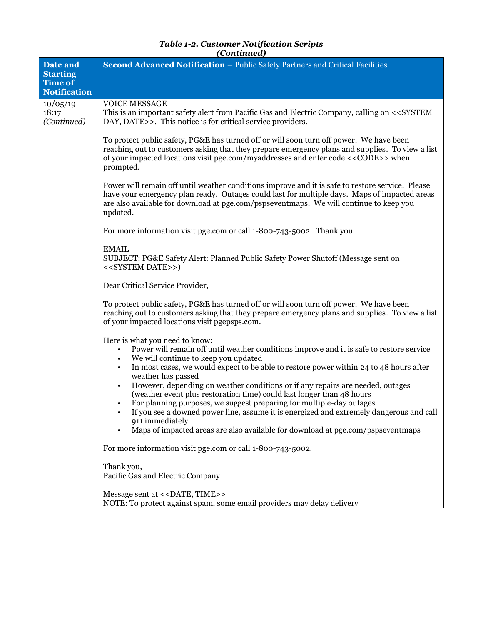| Date and<br><b>Starting</b><br><b>Time of</b><br><b>Notification</b> | Second Advanced Notification - Public Safety Partners and Critical Facilities                                                                                                                                                                                                                                                                                                                                                                                                                                                                                                                                                                                                                                                                                                                                                             |
|----------------------------------------------------------------------|-------------------------------------------------------------------------------------------------------------------------------------------------------------------------------------------------------------------------------------------------------------------------------------------------------------------------------------------------------------------------------------------------------------------------------------------------------------------------------------------------------------------------------------------------------------------------------------------------------------------------------------------------------------------------------------------------------------------------------------------------------------------------------------------------------------------------------------------|
| 10/05/19                                                             | <b>VOICE MESSAGE</b>                                                                                                                                                                                                                                                                                                                                                                                                                                                                                                                                                                                                                                                                                                                                                                                                                      |
| 18:17<br>(Continued)                                                 | This is an important safety alert from Pacific Gas and Electric Company, calling on < <system<br>DAY, DATE&gt;&gt;. This notice is for critical service providers.</system<br>                                                                                                                                                                                                                                                                                                                                                                                                                                                                                                                                                                                                                                                            |
|                                                                      | To protect public safety, PG&E has turned off or will soon turn off power. We have been<br>reaching out to customers asking that they prepare emergency plans and supplies. To view a list<br>of your impacted locations visit pge.com/myaddresses and enter code < <code>&gt; when<br/>prompted.</code>                                                                                                                                                                                                                                                                                                                                                                                                                                                                                                                                  |
|                                                                      | Power will remain off until weather conditions improve and it is safe to restore service. Please<br>have your emergency plan ready. Outages could last for multiple days. Maps of impacted areas<br>are also available for download at pge.com/pspseventmaps. We will continue to keep you<br>updated.                                                                                                                                                                                                                                                                                                                                                                                                                                                                                                                                    |
|                                                                      | For more information visit pge.com or call 1-800-743-5002. Thank you.                                                                                                                                                                                                                                                                                                                                                                                                                                                                                                                                                                                                                                                                                                                                                                     |
|                                                                      | <b>EMAIL</b><br>SUBJECT: PG&E Safety Alert: Planned Public Safety Power Shutoff (Message sent on<br>< <system date="">&gt;)</system>                                                                                                                                                                                                                                                                                                                                                                                                                                                                                                                                                                                                                                                                                                      |
|                                                                      | Dear Critical Service Provider,                                                                                                                                                                                                                                                                                                                                                                                                                                                                                                                                                                                                                                                                                                                                                                                                           |
|                                                                      | To protect public safety, PG&E has turned off or will soon turn off power. We have been<br>reaching out to customers asking that they prepare emergency plans and supplies. To view a list<br>of your impacted locations visit pgepsps.com.                                                                                                                                                                                                                                                                                                                                                                                                                                                                                                                                                                                               |
|                                                                      | Here is what you need to know:<br>Power will remain off until weather conditions improve and it is safe to restore service<br>$\bullet$<br>We will continue to keep you updated<br>$\bullet$<br>In most cases, we would expect to be able to restore power within 24 to 48 hours after<br>weather has passed<br>However, depending on weather conditions or if any repairs are needed, outages<br>(weather event plus restoration time) could last longer than 48 hours<br>For planning purposes, we suggest preparing for multiple-day outages<br>If you see a downed power line, assume it is energized and extremely dangerous and call<br>911 immediately<br>Maps of impacted areas are also available for download at pge.com/pspseventmaps<br>$\bullet$<br>For more information visit pge.com or call 1-800-743-5002.<br>Thank you, |
|                                                                      | Pacific Gas and Electric Company                                                                                                                                                                                                                                                                                                                                                                                                                                                                                                                                                                                                                                                                                                                                                                                                          |
|                                                                      | Message sent at << DATE, TIME>><br>NOTE: To protect against spam, some email providers may delay delivery                                                                                                                                                                                                                                                                                                                                                                                                                                                                                                                                                                                                                                                                                                                                 |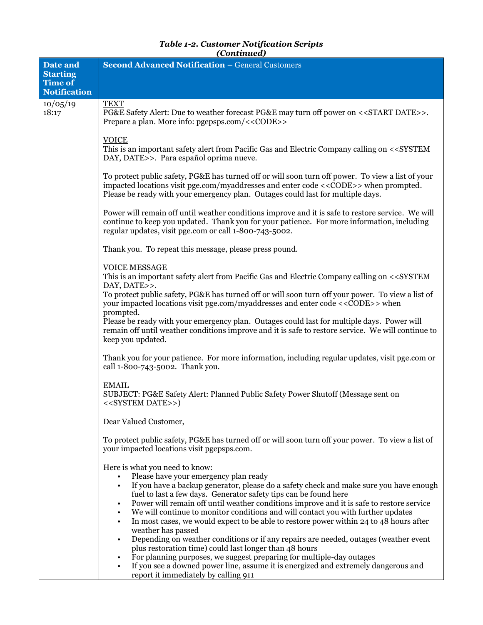| Date and                          | <b>Second Advanced Notification - General Customers</b>                                                                                                                                                                                                                                                                                                                                                                                                                                                                                                                                                                                                                                                                                                                                                                                                                                                                                                        |
|-----------------------------------|----------------------------------------------------------------------------------------------------------------------------------------------------------------------------------------------------------------------------------------------------------------------------------------------------------------------------------------------------------------------------------------------------------------------------------------------------------------------------------------------------------------------------------------------------------------------------------------------------------------------------------------------------------------------------------------------------------------------------------------------------------------------------------------------------------------------------------------------------------------------------------------------------------------------------------------------------------------|
| <b>Starting</b><br><b>Time of</b> |                                                                                                                                                                                                                                                                                                                                                                                                                                                                                                                                                                                                                                                                                                                                                                                                                                                                                                                                                                |
| <b>Notification</b>               |                                                                                                                                                                                                                                                                                                                                                                                                                                                                                                                                                                                                                                                                                                                                                                                                                                                                                                                                                                |
| 10/05/19<br>18:17                 | <b>TEXT</b><br>PG&E Safety Alert: Due to weather forecast PG&E may turn off power on < <start date="">&gt;.<br/>Prepare a plan. More info: pgepsps.com/&lt;<code>&gt;</code></start>                                                                                                                                                                                                                                                                                                                                                                                                                                                                                                                                                                                                                                                                                                                                                                           |
|                                   | <b>VOICE</b><br>This is an important safety alert from Pacific Gas and Electric Company calling on < <system<br>DAY, DATE&gt;&gt;. Para español oprima nueve.</system<br>                                                                                                                                                                                                                                                                                                                                                                                                                                                                                                                                                                                                                                                                                                                                                                                      |
|                                   | To protect public safety, PG&E has turned off or will soon turn off power. To view a list of your<br>impacted locations visit pge.com/myaddresses and enter code < <code>&gt; when prompted.<br/>Please be ready with your emergency plan. Outages could last for multiple days.</code>                                                                                                                                                                                                                                                                                                                                                                                                                                                                                                                                                                                                                                                                        |
|                                   | Power will remain off until weather conditions improve and it is safe to restore service. We will<br>continue to keep you updated. Thank you for your patience. For more information, including<br>regular updates, visit pge.com or call 1-800-743-5002.                                                                                                                                                                                                                                                                                                                                                                                                                                                                                                                                                                                                                                                                                                      |
|                                   | Thank you. To repeat this message, please press pound.                                                                                                                                                                                                                                                                                                                                                                                                                                                                                                                                                                                                                                                                                                                                                                                                                                                                                                         |
|                                   | <b>VOICE MESSAGE</b><br>This is an important safety alert from Pacific Gas and Electric Company calling on < <system<br>DAY, DATE&gt;&gt;.<br/>To protect public safety, PG&amp;E has turned off or will soon turn off your power. To view a list of</system<br>                                                                                                                                                                                                                                                                                                                                                                                                                                                                                                                                                                                                                                                                                               |
|                                   | your impacted locations visit pge.com/myaddresses and enter code <<< <a>CODE&gt;&gt;&gt;when<br/>prompted.<br/>Please be ready with your emergency plan. Outages could last for multiple days. Power will<br/>remain off until weather conditions improve and it is safe to restore service. We will continue to<br/>keep you updated.</a>                                                                                                                                                                                                                                                                                                                                                                                                                                                                                                                                                                                                                     |
|                                   | Thank you for your patience. For more information, including regular updates, visit pge.com or<br>call 1-800-743-5002. Thank you.                                                                                                                                                                                                                                                                                                                                                                                                                                                                                                                                                                                                                                                                                                                                                                                                                              |
|                                   | <b>EMAIL</b><br>SUBJECT: PG&E Safety Alert: Planned Public Safety Power Shutoff (Message sent on<br>< <system date="">&gt;)</system>                                                                                                                                                                                                                                                                                                                                                                                                                                                                                                                                                                                                                                                                                                                                                                                                                           |
|                                   | Dear Valued Customer,                                                                                                                                                                                                                                                                                                                                                                                                                                                                                                                                                                                                                                                                                                                                                                                                                                                                                                                                          |
|                                   | To protect public safety, PG&E has turned off or will soon turn off your power. To view a list of<br>your impacted locations visit pgepsps.com.                                                                                                                                                                                                                                                                                                                                                                                                                                                                                                                                                                                                                                                                                                                                                                                                                |
|                                   | Here is what you need to know:<br>Please have your emergency plan ready<br>$\bullet$<br>If you have a backup generator, please do a safety check and make sure you have enough<br>$\bullet$<br>fuel to last a few days. Generator safety tips can be found here<br>Power will remain off until weather conditions improve and it is safe to restore service<br>We will continue to monitor conditions and will contact you with further updates<br>$\bullet$<br>In most cases, we would expect to be able to restore power within 24 to 48 hours after<br>$\bullet$<br>weather has passed<br>Depending on weather conditions or if any repairs are needed, outages (weather event<br>$\bullet$<br>plus restoration time) could last longer than 48 hours<br>For planning purposes, we suggest preparing for multiple-day outages<br>If you see a downed power line, assume it is energized and extremely dangerous and<br>report it immediately by calling 911 |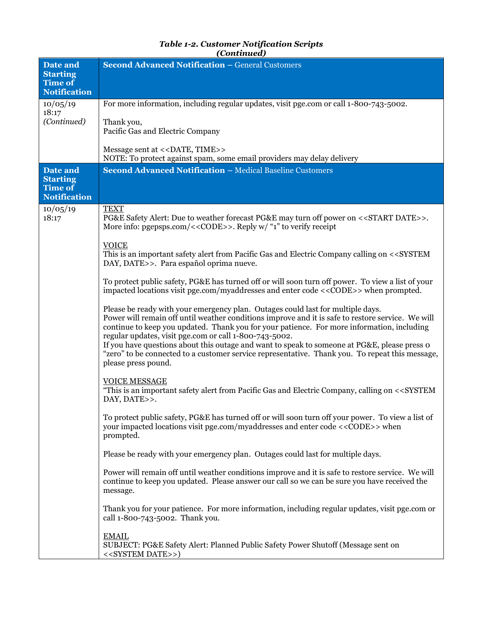| Date and<br><b>Starting</b><br><b>Time of</b>                        | <b>Second Advanced Notification - General Customers</b>                                                                                                                                                                                                                                                                                                                                                                                                                                                                                                                                                                                                                                                                                                                                                                                                                                                                                                                                                                                                                                                                                                                                                                                                                                                                                                                                                                                                                                                                                                                                                                                                                                                                                                                                                                                                                                                                                                                                                                                       |
|----------------------------------------------------------------------|-----------------------------------------------------------------------------------------------------------------------------------------------------------------------------------------------------------------------------------------------------------------------------------------------------------------------------------------------------------------------------------------------------------------------------------------------------------------------------------------------------------------------------------------------------------------------------------------------------------------------------------------------------------------------------------------------------------------------------------------------------------------------------------------------------------------------------------------------------------------------------------------------------------------------------------------------------------------------------------------------------------------------------------------------------------------------------------------------------------------------------------------------------------------------------------------------------------------------------------------------------------------------------------------------------------------------------------------------------------------------------------------------------------------------------------------------------------------------------------------------------------------------------------------------------------------------------------------------------------------------------------------------------------------------------------------------------------------------------------------------------------------------------------------------------------------------------------------------------------------------------------------------------------------------------------------------------------------------------------------------------------------------------------------------|
| <b>Notification</b>                                                  |                                                                                                                                                                                                                                                                                                                                                                                                                                                                                                                                                                                                                                                                                                                                                                                                                                                                                                                                                                                                                                                                                                                                                                                                                                                                                                                                                                                                                                                                                                                                                                                                                                                                                                                                                                                                                                                                                                                                                                                                                                               |
| 10/05/19<br>18:17<br>(Continued)                                     | For more information, including regular updates, visit pge.com or call 1-800-743-5002.<br>Thank you,<br>Pacific Gas and Electric Company<br>Message sent at << DATE, TIME>><br>NOTE: To protect against spam, some email providers may delay delivery                                                                                                                                                                                                                                                                                                                                                                                                                                                                                                                                                                                                                                                                                                                                                                                                                                                                                                                                                                                                                                                                                                                                                                                                                                                                                                                                                                                                                                                                                                                                                                                                                                                                                                                                                                                         |
| Date and<br><b>Starting</b><br><b>Time of</b><br><b>Notification</b> | <b>Second Advanced Notification - Medical Baseline Customers</b>                                                                                                                                                                                                                                                                                                                                                                                                                                                                                                                                                                                                                                                                                                                                                                                                                                                                                                                                                                                                                                                                                                                                                                                                                                                                                                                                                                                                                                                                                                                                                                                                                                                                                                                                                                                                                                                                                                                                                                              |
| 10/05/19<br>18:17                                                    | <b>TEXT</b><br>PG&E Safety Alert: Due to weather forecast PG&E may turn off power on < <start date="">&gt;.<br/>More info: pgepsps.com/&lt;<code>&gt;. Reply w/ "1" to verify receipt<br/><b>VOICE</b><br/>This is an important safety alert from Pacific Gas and Electric Company calling on &lt;<system<br>DAY, DATE&gt;&gt;. Para español oprima nueve.<br/>To protect public safety, PG&amp;E has turned off or will soon turn off power. To view a list of your<br/>impacted locations visit pge.com/myaddresses and enter code &lt;<code>&gt; when prompted.<br/>Please be ready with your emergency plan. Outages could last for multiple days.<br/>Power will remain off until weather conditions improve and it is safe to restore service. We will<br/>continue to keep you updated. Thank you for your patience. For more information, including<br/>regular updates, visit pge.com or call 1-800-743-5002.<br/>If you have questions about this outage and want to speak to someone at PG&amp;E, please press o<br/>"zero" to be connected to a customer service representative. Thank you. To repeat this message,<br/>please press pound.<br/><b>VOICE MESSAGE</b><br/>"This is an important safety alert from Pacific Gas and Electric Company, calling on &lt;<system<br>DAY, DATE&gt;&gt;.<br/>To protect public safety, PG&amp;E has turned off or will soon turn off your power. To view a list of<br/>your impacted locations visit pge.com/myaddresses and enter code &lt;&lt;&lt;<a>CODE&gt;&gt;&gt;when<br/>prompted.<br/>Please be ready with your emergency plan. Outages could last for multiple days.<br/>Power will remain off until weather conditions improve and it is safe to restore service. We will<br/>continue to keep you updated. Please answer our call so we can be sure you have received the<br/>message.<br/>Thank you for your patience. For more information, including regular updates, visit pge.com or<br/>call 1-800-743-5002. Thank you.</a></system<br></code></system<br></code></start> |
|                                                                      | <b>EMAIL</b><br>SUBJECT: PG&E Safety Alert: Planned Public Safety Power Shutoff (Message sent on<br>< <system date="">&gt;)</system>                                                                                                                                                                                                                                                                                                                                                                                                                                                                                                                                                                                                                                                                                                                                                                                                                                                                                                                                                                                                                                                                                                                                                                                                                                                                                                                                                                                                                                                                                                                                                                                                                                                                                                                                                                                                                                                                                                          |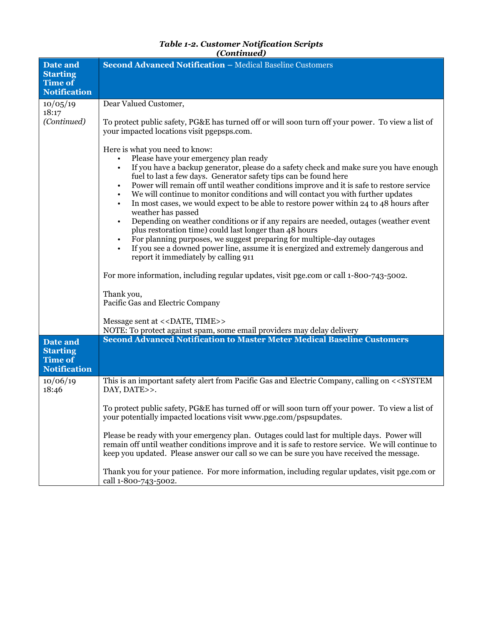| Date and                                                             | Second Advanced Notification - Medical Baseline Customers                                                                                                                                                                                                                                                                                                                                                                                                                                                                                                                                                                                                                                                                                                                                                                                                                                                                                                                                                                       |
|----------------------------------------------------------------------|---------------------------------------------------------------------------------------------------------------------------------------------------------------------------------------------------------------------------------------------------------------------------------------------------------------------------------------------------------------------------------------------------------------------------------------------------------------------------------------------------------------------------------------------------------------------------------------------------------------------------------------------------------------------------------------------------------------------------------------------------------------------------------------------------------------------------------------------------------------------------------------------------------------------------------------------------------------------------------------------------------------------------------|
| <b>Starting</b><br><b>Time of</b>                                    |                                                                                                                                                                                                                                                                                                                                                                                                                                                                                                                                                                                                                                                                                                                                                                                                                                                                                                                                                                                                                                 |
| <b>Notification</b>                                                  |                                                                                                                                                                                                                                                                                                                                                                                                                                                                                                                                                                                                                                                                                                                                                                                                                                                                                                                                                                                                                                 |
| 10/05/19                                                             | Dear Valued Customer,                                                                                                                                                                                                                                                                                                                                                                                                                                                                                                                                                                                                                                                                                                                                                                                                                                                                                                                                                                                                           |
| 18:17<br>(Continued)                                                 | To protect public safety, PG&E has turned off or will soon turn off your power. To view a list of<br>your impacted locations visit pgepsps.com.                                                                                                                                                                                                                                                                                                                                                                                                                                                                                                                                                                                                                                                                                                                                                                                                                                                                                 |
|                                                                      | Here is what you need to know:<br>Please have your emergency plan ready<br>If you have a backup generator, please do a safety check and make sure you have enough<br>fuel to last a few days. Generator safety tips can be found here<br>Power will remain off until weather conditions improve and it is safe to restore service<br>We will continue to monitor conditions and will contact you with further updates<br>In most cases, we would expect to be able to restore power within 24 to 48 hours after<br>weather has passed<br>Depending on weather conditions or if any repairs are needed, outages (weather event<br>plus restoration time) could last longer than 48 hours<br>For planning purposes, we suggest preparing for multiple-day outages<br>$\bullet$<br>If you see a downed power line, assume it is energized and extremely dangerous and<br>$\bullet$<br>report it immediately by calling 911<br>For more information, including regular updates, visit pge.com or call 1-800-743-5002.<br>Thank you, |
|                                                                      | Pacific Gas and Electric Company                                                                                                                                                                                                                                                                                                                                                                                                                                                                                                                                                                                                                                                                                                                                                                                                                                                                                                                                                                                                |
|                                                                      | Message sent at << DATE, TIME>>                                                                                                                                                                                                                                                                                                                                                                                                                                                                                                                                                                                                                                                                                                                                                                                                                                                                                                                                                                                                 |
| Date and<br><b>Starting</b><br><b>Time of</b><br><b>Notification</b> | NOTE: To protect against spam, some email providers may delay delivery<br><b>Second Advanced Notification to Master Meter Medical Baseline Customers</b>                                                                                                                                                                                                                                                                                                                                                                                                                                                                                                                                                                                                                                                                                                                                                                                                                                                                        |
| 10/06/19<br>18:46                                                    | This is an important safety alert from Pacific Gas and Electric Company, calling on < <system<br>DAY, DATE&gt;&gt;.</system<br>                                                                                                                                                                                                                                                                                                                                                                                                                                                                                                                                                                                                                                                                                                                                                                                                                                                                                                 |
|                                                                      | To protect public safety, PG&E has turned off or will soon turn off your power. To view a list of<br>your potentially impacted locations visit www.pge.com/pspsupdates.                                                                                                                                                                                                                                                                                                                                                                                                                                                                                                                                                                                                                                                                                                                                                                                                                                                         |
|                                                                      | Please be ready with your emergency plan. Outages could last for multiple days. Power will<br>remain off until weather conditions improve and it is safe to restore service. We will continue to<br>keep you updated. Please answer our call so we can be sure you have received the message.                                                                                                                                                                                                                                                                                                                                                                                                                                                                                                                                                                                                                                                                                                                                   |
|                                                                      | Thank you for your patience. For more information, including regular updates, visit pge.com or<br>call 1-800-743-5002.                                                                                                                                                                                                                                                                                                                                                                                                                                                                                                                                                                                                                                                                                                                                                                                                                                                                                                          |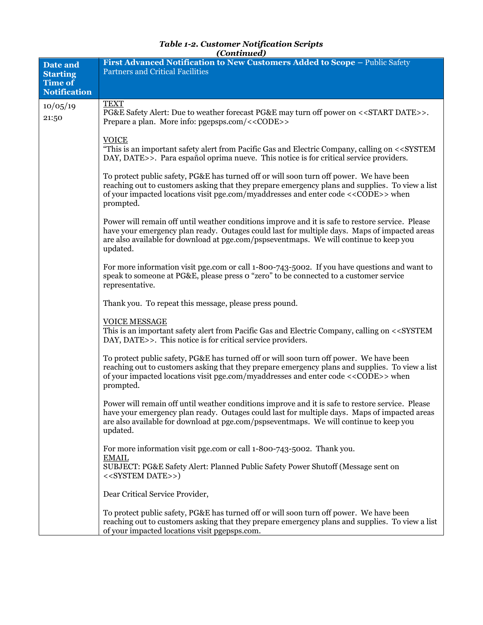| <b>Table 1-2. Customer Notification Scripts</b> |
|-------------------------------------------------|
| (Continued)                                     |

| Date and<br><b>Starting</b>           | First Advanced Notification to New Customers Added to Scope - Public Safety<br><b>Partners and Critical Facilities</b>                                                                                                                                                                                          |
|---------------------------------------|-----------------------------------------------------------------------------------------------------------------------------------------------------------------------------------------------------------------------------------------------------------------------------------------------------------------|
| <b>Time of</b><br><b>Notification</b> |                                                                                                                                                                                                                                                                                                                 |
|                                       | <b>TEXT</b>                                                                                                                                                                                                                                                                                                     |
| 10/05/19<br>21:50                     | PG&E Safety Alert: Due to weather forecast PG&E may turn off power on < <start date="">&gt;.<br/>Prepare a plan. More info: pgepsps.com/&lt;<code>&gt;</code></start>                                                                                                                                           |
|                                       | <b>VOICE</b><br>"This is an important safety alert from Pacific Gas and Electric Company, calling on < <system<br>DAY, DATE&gt;&gt;. Para español oprima nueve. This notice is for critical service providers.</system<br>                                                                                      |
|                                       | To protect public safety, PG&E has turned off or will soon turn off power. We have been<br>reaching out to customers asking that they prepare emergency plans and supplies. To view a list<br>of your impacted locations visit pge.com/myaddresses and enter code < <code>&gt; when<br/>prompted.</code>        |
|                                       | Power will remain off until weather conditions improve and it is safe to restore service. Please<br>have your emergency plan ready. Outages could last for multiple days. Maps of impacted areas<br>are also available for download at pge.com/pspseventmaps. We will continue to keep you<br>updated.          |
|                                       | For more information visit pge.com or call 1-800-743-5002. If you have questions and want to<br>speak to someone at PG&E, please press o "zero" to be connected to a customer service<br>representative.                                                                                                        |
|                                       | Thank you. To repeat this message, please press pound.                                                                                                                                                                                                                                                          |
|                                       | <b>VOICE MESSAGE</b><br>This is an important safety alert from Pacific Gas and Electric Company, calling on < <system<br>DAY, DATE&gt;&gt;. This notice is for critical service providers.</system<br>                                                                                                          |
|                                       | To protect public safety, PG&E has turned off or will soon turn off power. We have been<br>reaching out to customers asking that they prepare emergency plans and supplies. To view a list<br>of your impacted locations visit pge.com/myaddresses and enter code <<< <o>CODE&gt;&gt;&gt;when<br/>prompted.</o> |
|                                       | Power will remain off until weather conditions improve and it is safe to restore service. Please<br>have your emergency plan ready. Outages could last for multiple days. Maps of impacted areas<br>are also available for download at pge.com/pspseventmaps. We will continue to keep you<br>updated.          |
|                                       | For more information visit pge.com or call 1-800-743-5002. Thank you.<br><b>EMAIL</b>                                                                                                                                                                                                                           |
|                                       | SUBJECT: PG&E Safety Alert: Planned Public Safety Power Shutoff (Message sent on<br>< <system date="">&gt;)</system>                                                                                                                                                                                            |
|                                       | Dear Critical Service Provider,                                                                                                                                                                                                                                                                                 |
|                                       | To protect public safety, PG&E has turned off or will soon turn off power. We have been<br>reaching out to customers asking that they prepare emergency plans and supplies. To view a list<br>of your impacted locations visit pgepsps.com.                                                                     |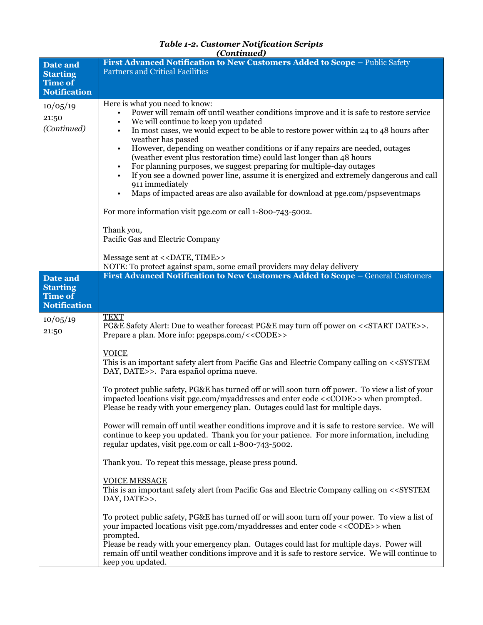| <b>Table 1-2. Customer Notification Scripts</b> |
|-------------------------------------------------|
| (Continued)                                     |

| <b>Date and</b>                                                      | First Advanced Notification to New Customers Added to Scope - Public Safety                                                                                                                                                                                                                                                                                                                                                                                                                                                                                                                                                                                                |
|----------------------------------------------------------------------|----------------------------------------------------------------------------------------------------------------------------------------------------------------------------------------------------------------------------------------------------------------------------------------------------------------------------------------------------------------------------------------------------------------------------------------------------------------------------------------------------------------------------------------------------------------------------------------------------------------------------------------------------------------------------|
| <b>Starting</b><br><b>Time of</b>                                    | <b>Partners and Critical Facilities</b>                                                                                                                                                                                                                                                                                                                                                                                                                                                                                                                                                                                                                                    |
| <b>Notification</b>                                                  |                                                                                                                                                                                                                                                                                                                                                                                                                                                                                                                                                                                                                                                                            |
| 10/05/19<br>21:50<br>(Continued)                                     | Here is what you need to know:<br>Power will remain off until weather conditions improve and it is safe to restore service<br>We will continue to keep you updated<br>$\bullet$<br>In most cases, we would expect to be able to restore power within 24 to 48 hours after<br>$\bullet$<br>weather has passed<br>However, depending on weather conditions or if any repairs are needed, outages<br>$\bullet$<br>(weather event plus restoration time) could last longer than 48 hours<br>For planning purposes, we suggest preparing for multiple-day outages<br>If you see a downed power line, assume it is energized and extremely dangerous and call<br>911 immediately |
|                                                                      | Maps of impacted areas are also available for download at pge.com/pspseventmaps                                                                                                                                                                                                                                                                                                                                                                                                                                                                                                                                                                                            |
|                                                                      | For more information visit pge.com or call 1-800-743-5002.                                                                                                                                                                                                                                                                                                                                                                                                                                                                                                                                                                                                                 |
|                                                                      | Thank you,<br>Pacific Gas and Electric Company                                                                                                                                                                                                                                                                                                                                                                                                                                                                                                                                                                                                                             |
|                                                                      | Message sent at << DATE, TIME>>                                                                                                                                                                                                                                                                                                                                                                                                                                                                                                                                                                                                                                            |
|                                                                      | NOTE: To protect against spam, some email providers may delay delivery                                                                                                                                                                                                                                                                                                                                                                                                                                                                                                                                                                                                     |
| Date and<br><b>Starting</b><br><b>Time of</b><br><b>Notification</b> | First Advanced Notification to New Customers Added to Scope - General Customers                                                                                                                                                                                                                                                                                                                                                                                                                                                                                                                                                                                            |
| 10/05/19<br>21:50                                                    | <b>TEXT</b><br>PG&E Safety Alert: Due to weather forecast PG&E may turn off power on < <start date="">&gt;.<br/>Prepare a plan. More info: pgepsps.com/&lt;<code>&gt;</code></start>                                                                                                                                                                                                                                                                                                                                                                                                                                                                                       |
|                                                                      | <b>VOICE</b><br>This is an important safety alert from Pacific Gas and Electric Company calling on < <system<br>DAY, DATE&gt;&gt;. Para español oprima nueve.</system<br>                                                                                                                                                                                                                                                                                                                                                                                                                                                                                                  |
|                                                                      | To protect public safety, PG&E has turned off or will soon turn off power. To view a list of your<br>impacted locations visit pge.com/myaddresses and enter code < <code>&gt; when prompted.<br/>Please be ready with your emergency plan. Outages could last for multiple days.</code>                                                                                                                                                                                                                                                                                                                                                                                    |
|                                                                      | Power will remain off until weather conditions improve and it is safe to restore service. We will<br>continue to keep you updated. Thank you for your patience. For more information, including<br>regular updates, visit pge.com or call 1-800-743-5002.                                                                                                                                                                                                                                                                                                                                                                                                                  |
|                                                                      | Thank you. To repeat this message, please press pound.                                                                                                                                                                                                                                                                                                                                                                                                                                                                                                                                                                                                                     |
|                                                                      | <b>VOICE MESSAGE</b><br>This is an important safety alert from Pacific Gas and Electric Company calling on < <system<br>DAY, DATE&gt;&gt;.</system<br>                                                                                                                                                                                                                                                                                                                                                                                                                                                                                                                     |
|                                                                      | To protect public safety, PG&E has turned off or will soon turn off your power. To view a list of<br>your impacted locations visit pge.com/myaddresses and enter code <<< <a>CODE&gt;&gt; when<br/>prompted.<br/>Please be ready with your emergency plan. Outages could last for multiple days. Power will</a>                                                                                                                                                                                                                                                                                                                                                            |
|                                                                      | remain off until weather conditions improve and it is safe to restore service. We will continue to<br>keep you updated.                                                                                                                                                                                                                                                                                                                                                                                                                                                                                                                                                    |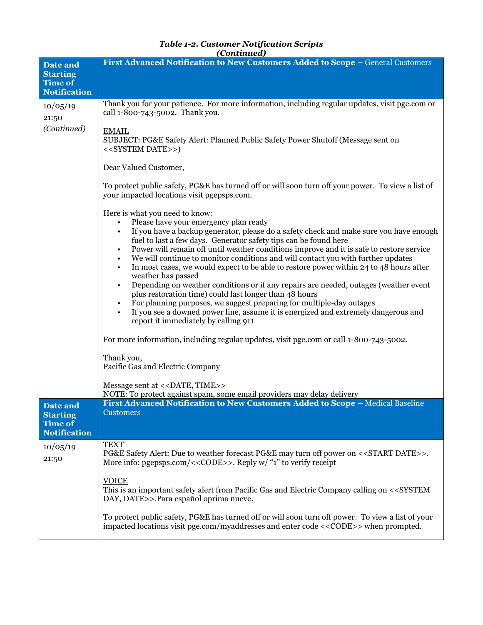|                                                                      | (Continued)                                                                                                                                                                                                                                                                                                                                                                                                                                                                                                                                                                                                                                                                                                                                                                                                                                                                                                                                                                                                                                                         |
|----------------------------------------------------------------------|---------------------------------------------------------------------------------------------------------------------------------------------------------------------------------------------------------------------------------------------------------------------------------------------------------------------------------------------------------------------------------------------------------------------------------------------------------------------------------------------------------------------------------------------------------------------------------------------------------------------------------------------------------------------------------------------------------------------------------------------------------------------------------------------------------------------------------------------------------------------------------------------------------------------------------------------------------------------------------------------------------------------------------------------------------------------|
| Date and<br><b>Starting</b><br><b>Time of</b><br><b>Notification</b> | First Advanced Notification to New Customers Added to Scope - General Customers                                                                                                                                                                                                                                                                                                                                                                                                                                                                                                                                                                                                                                                                                                                                                                                                                                                                                                                                                                                     |
| 10/05/19<br>21:50                                                    | Thank you for your patience. For more information, including regular updates, visit pge.com or<br>call 1-800-743-5002. Thank you.                                                                                                                                                                                                                                                                                                                                                                                                                                                                                                                                                                                                                                                                                                                                                                                                                                                                                                                                   |
| (Continued)                                                          | <b>EMAIL</b><br>SUBJECT: PG&E Safety Alert: Planned Public Safety Power Shutoff (Message sent on<br>< <system date="">&gt;)</system>                                                                                                                                                                                                                                                                                                                                                                                                                                                                                                                                                                                                                                                                                                                                                                                                                                                                                                                                |
|                                                                      | Dear Valued Customer,                                                                                                                                                                                                                                                                                                                                                                                                                                                                                                                                                                                                                                                                                                                                                                                                                                                                                                                                                                                                                                               |
|                                                                      | To protect public safety, PG&E has turned off or will soon turn off your power. To view a list of<br>your impacted locations visit pgepsps.com.                                                                                                                                                                                                                                                                                                                                                                                                                                                                                                                                                                                                                                                                                                                                                                                                                                                                                                                     |
|                                                                      | Here is what you need to know:<br>Please have your emergency plan ready<br>If you have a backup generator, please do a safety check and make sure you have enough<br>fuel to last a few days. Generator safety tips can be found here<br>Power will remain off until weather conditions improve and it is safe to restore service<br>We will continue to monitor conditions and will contact you with further updates<br>In most cases, we would expect to be able to restore power within 24 to 48 hours after<br>$\bullet$<br>weather has passed<br>Depending on weather conditions or if any repairs are needed, outages (weather event<br>$\bullet$<br>plus restoration time) could last longer than 48 hours<br>For planning purposes, we suggest preparing for multiple-day outages<br>If you see a downed power line, assume it is energized and extremely dangerous and<br>report it immediately by calling 911<br>For more information, including regular updates, visit pge.com or call 1-800-743-5002.<br>Thank you,<br>Pacific Gas and Electric Company |
|                                                                      | Message sent at << DATE, TIME>><br>NOTE: To protect against spam, some email providers may delay delivery                                                                                                                                                                                                                                                                                                                                                                                                                                                                                                                                                                                                                                                                                                                                                                                                                                                                                                                                                           |
| Date and<br><b>Starting</b><br><b>Time of</b><br><b>Notification</b> | First Advanced Notification to New Customers Added to Scope - Medical Baseline<br><b>Customers</b>                                                                                                                                                                                                                                                                                                                                                                                                                                                                                                                                                                                                                                                                                                                                                                                                                                                                                                                                                                  |
| 10/05/19<br>21:50                                                    | <b>TEXT</b><br>PG&E Safety Alert: Due to weather forecast PG&E may turn off power on < <start date="">&gt;.<br/>More info: pgepsps.com/&lt;<code>&gt;. Reply w/ "1" to verify receipt<br/><b>VOICE</b><br/>This is an important safety alert from Pacific Gas and Electric Company calling on &lt;<system< td=""></system<></code></start>                                                                                                                                                                                                                                                                                                                                                                                                                                                                                                                                                                                                                                                                                                                          |
|                                                                      | DAY, DATE>>.Para español oprima nueve.                                                                                                                                                                                                                                                                                                                                                                                                                                                                                                                                                                                                                                                                                                                                                                                                                                                                                                                                                                                                                              |
|                                                                      | To protect public safety, PG&E has turned off or will soon turn off power. To view a list of your<br>impacted locations visit pge.com/myaddresses and enter code < <code>&gt; when prompted.</code>                                                                                                                                                                                                                                                                                                                                                                                                                                                                                                                                                                                                                                                                                                                                                                                                                                                                 |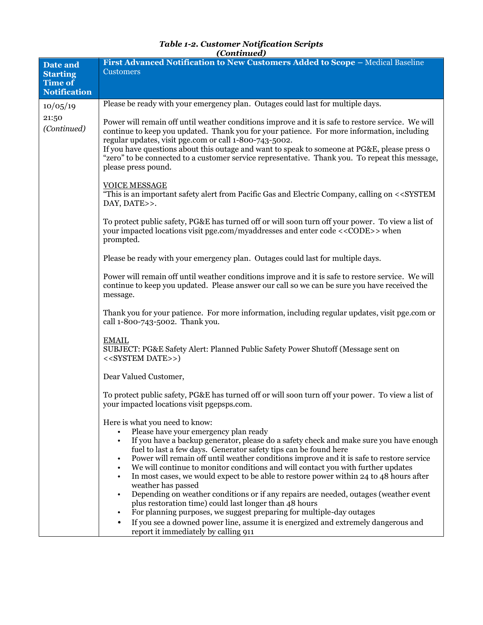|                                | (Continuea)                                                                                                                                                                                                                                                                                                                                                                                                                                                                                                                                                                                                                                                                                                                                                                                                                                                                                                |  |  |  |
|--------------------------------|------------------------------------------------------------------------------------------------------------------------------------------------------------------------------------------------------------------------------------------------------------------------------------------------------------------------------------------------------------------------------------------------------------------------------------------------------------------------------------------------------------------------------------------------------------------------------------------------------------------------------------------------------------------------------------------------------------------------------------------------------------------------------------------------------------------------------------------------------------------------------------------------------------|--|--|--|
| Date and<br><b>Starting</b>    | First Advanced Notification to New Customers Added to Scope - Medical Baseline<br><b>Customers</b>                                                                                                                                                                                                                                                                                                                                                                                                                                                                                                                                                                                                                                                                                                                                                                                                         |  |  |  |
| Time of<br><b>Notification</b> |                                                                                                                                                                                                                                                                                                                                                                                                                                                                                                                                                                                                                                                                                                                                                                                                                                                                                                            |  |  |  |
|                                | Please be ready with your emergency plan. Outages could last for multiple days.                                                                                                                                                                                                                                                                                                                                                                                                                                                                                                                                                                                                                                                                                                                                                                                                                            |  |  |  |
| 10/05/19                       |                                                                                                                                                                                                                                                                                                                                                                                                                                                                                                                                                                                                                                                                                                                                                                                                                                                                                                            |  |  |  |
| 21:50<br>(Continued)           | Power will remain off until weather conditions improve and it is safe to restore service. We will<br>continue to keep you updated. Thank you for your patience. For more information, including<br>regular updates, visit pge.com or call 1-800-743-5002.<br>If you have questions about this outage and want to speak to someone at PG&E, please press o<br>"zero" to be connected to a customer service representative. Thank you. To repeat this message,<br>please press pound.                                                                                                                                                                                                                                                                                                                                                                                                                        |  |  |  |
|                                |                                                                                                                                                                                                                                                                                                                                                                                                                                                                                                                                                                                                                                                                                                                                                                                                                                                                                                            |  |  |  |
|                                | <b>VOICE MESSAGE</b><br>"This is an important safety alert from Pacific Gas and Electric Company, calling on < <system<br>DAY, DATE&gt;&gt;.</system<br>                                                                                                                                                                                                                                                                                                                                                                                                                                                                                                                                                                                                                                                                                                                                                   |  |  |  |
|                                | To protect public safety, PG&E has turned off or will soon turn off your power. To view a list of<br>your impacted locations visit pge.com/myaddresses and enter code < <code>&gt; when<br/>prompted.</code>                                                                                                                                                                                                                                                                                                                                                                                                                                                                                                                                                                                                                                                                                               |  |  |  |
|                                | Please be ready with your emergency plan. Outages could last for multiple days.                                                                                                                                                                                                                                                                                                                                                                                                                                                                                                                                                                                                                                                                                                                                                                                                                            |  |  |  |
|                                | Power will remain off until weather conditions improve and it is safe to restore service. We will<br>continue to keep you updated. Please answer our call so we can be sure you have received the<br>message.                                                                                                                                                                                                                                                                                                                                                                                                                                                                                                                                                                                                                                                                                              |  |  |  |
|                                | Thank you for your patience. For more information, including regular updates, visit pge.com or<br>call 1-800-743-5002. Thank you.                                                                                                                                                                                                                                                                                                                                                                                                                                                                                                                                                                                                                                                                                                                                                                          |  |  |  |
|                                | <b>EMAIL</b><br>SUBJECT: PG&E Safety Alert: Planned Public Safety Power Shutoff (Message sent on<br>< <system date="">&gt;)</system>                                                                                                                                                                                                                                                                                                                                                                                                                                                                                                                                                                                                                                                                                                                                                                       |  |  |  |
|                                | Dear Valued Customer,                                                                                                                                                                                                                                                                                                                                                                                                                                                                                                                                                                                                                                                                                                                                                                                                                                                                                      |  |  |  |
|                                | To protect public safety, PG&E has turned off or will soon turn off your power. To view a list of<br>your impacted locations visit pgepsps.com.                                                                                                                                                                                                                                                                                                                                                                                                                                                                                                                                                                                                                                                                                                                                                            |  |  |  |
|                                | Here is what you need to know:<br>Please have your emergency plan ready<br>If you have a backup generator, please do a safety check and make sure you have enough<br>fuel to last a few days. Generator safety tips can be found here<br>Power will remain off until weather conditions improve and it is safe to restore service<br>We will continue to monitor conditions and will contact you with further updates<br>In most cases, we would expect to be able to restore power within 24 to 48 hours after<br>$\bullet$<br>weather has passed<br>Depending on weather conditions or if any repairs are needed, outages (weather event<br>plus restoration time) could last longer than 48 hours<br>For planning purposes, we suggest preparing for multiple-day outages<br>If you see a downed power line, assume it is energized and extremely dangerous and<br>report it immediately by calling 911 |  |  |  |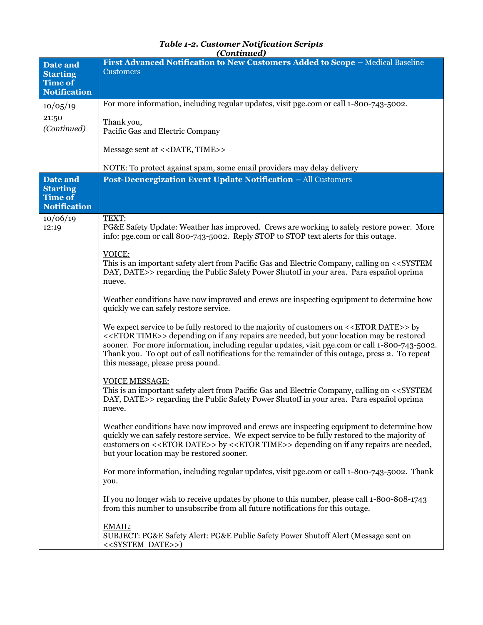| Date and                                                 | First Advanced Notification to New Customers Added to Scope - Medical Baseline                                                                                                                                                                                                                                                                                                                                                                                  |  |  |  |
|----------------------------------------------------------|-----------------------------------------------------------------------------------------------------------------------------------------------------------------------------------------------------------------------------------------------------------------------------------------------------------------------------------------------------------------------------------------------------------------------------------------------------------------|--|--|--|
| <b>Starting</b>                                          | <b>Customers</b>                                                                                                                                                                                                                                                                                                                                                                                                                                                |  |  |  |
| <b>Time of</b><br><b>Notification</b>                    |                                                                                                                                                                                                                                                                                                                                                                                                                                                                 |  |  |  |
| 10/05/19                                                 | For more information, including regular updates, visit pge.com or call 1-800-743-5002.                                                                                                                                                                                                                                                                                                                                                                          |  |  |  |
| 21:50<br>(Continued)                                     | Thank you,<br>Pacific Gas and Electric Company                                                                                                                                                                                                                                                                                                                                                                                                                  |  |  |  |
|                                                          | Message sent at << DATE, TIME>>                                                                                                                                                                                                                                                                                                                                                                                                                                 |  |  |  |
|                                                          | NOTE: To protect against spam, some email providers may delay delivery                                                                                                                                                                                                                                                                                                                                                                                          |  |  |  |
| Date and                                                 | Post-Deenergization Event Update Notification - All Customers                                                                                                                                                                                                                                                                                                                                                                                                   |  |  |  |
| <b>Starting</b><br><b>Time of</b><br><b>Notification</b> |                                                                                                                                                                                                                                                                                                                                                                                                                                                                 |  |  |  |
| 10/06/19                                                 | TEXT:                                                                                                                                                                                                                                                                                                                                                                                                                                                           |  |  |  |
| 12:19                                                    | PG&E Safety Update: Weather has improved. Crews are working to safely restore power. More<br>info: pge.com or call 800-743-5002. Reply STOP to STOP text alerts for this outage.                                                                                                                                                                                                                                                                                |  |  |  |
|                                                          | VOICE:<br>This is an important safety alert from Pacific Gas and Electric Company, calling on < <system<br>DAY, DATE&gt;&gt; regarding the Public Safety Power Shutoff in your area. Para español oprima<br/>nueve.</system<br>                                                                                                                                                                                                                                 |  |  |  |
|                                                          | Weather conditions have now improved and crews are inspecting equipment to determine how<br>quickly we can safely restore service.                                                                                                                                                                                                                                                                                                                              |  |  |  |
|                                                          | We expect service to be fully restored to the majority of customers on < <etor date="">&gt; by<br/>&lt;<etor time="">&gt; depending on if any repairs are needed, but your location may be restored<br/>sooner. For more information, including regular updates, visit pge.com or call 1-800-743-5002.<br/>Thank you. To opt out of call notifications for the remainder of this outage, press 2. To repeat<br/>this message, please press pound.</etor></etor> |  |  |  |
|                                                          |                                                                                                                                                                                                                                                                                                                                                                                                                                                                 |  |  |  |
|                                                          | <b>VOICE MESSAGE:</b><br>This is an important safety alert from Pacific Gas and Electric Company, calling on < <system<br>DAY, DATE&gt;&gt; regarding the Public Safety Power Shutoff in your area. Para español oprima<br/>nueve.</system<br>                                                                                                                                                                                                                  |  |  |  |
|                                                          | Weather conditions have now improved and crews are inspecting equipment to determine how<br>quickly we can safely restore service. We expect service to be fully restored to the majority of<br>customers on < <etor date="">&gt; by &lt;<etor time="">&gt; depending on if any repairs are needed,<br/>but your location may be restored sooner.</etor></etor>                                                                                                 |  |  |  |
|                                                          | For more information, including regular updates, visit pge.com or call 1-800-743-5002. Thank<br>you.                                                                                                                                                                                                                                                                                                                                                            |  |  |  |
|                                                          | If you no longer wish to receive updates by phone to this number, please call 1-800-808-1743<br>from this number to unsubscribe from all future notifications for this outage.                                                                                                                                                                                                                                                                                  |  |  |  |
|                                                          | <b>EMAIL:</b><br>SUBJECT: PG&E Safety Alert: PG&E Public Safety Power Shutoff Alert (Message sent on<br>< <system date="">&gt;)</system>                                                                                                                                                                                                                                                                                                                        |  |  |  |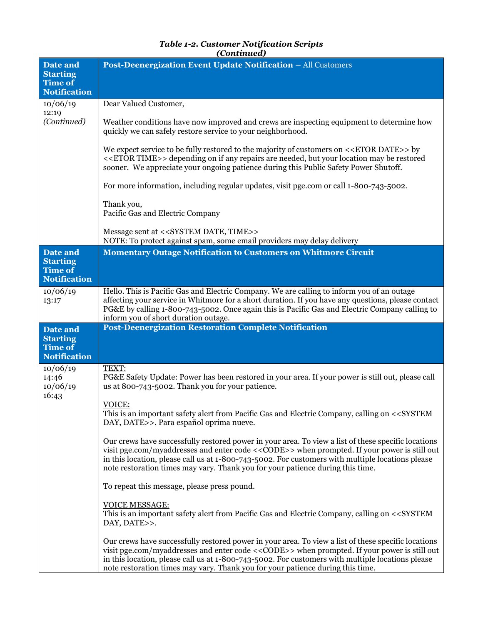| Date and<br><b>Starting</b>                              | Post-Deenergization Event Update Notification - All Customers                                                                                                                                                                                                                                                                                                                                          |  |  |  |
|----------------------------------------------------------|--------------------------------------------------------------------------------------------------------------------------------------------------------------------------------------------------------------------------------------------------------------------------------------------------------------------------------------------------------------------------------------------------------|--|--|--|
| <b>Time of</b><br><b>Notification</b>                    |                                                                                                                                                                                                                                                                                                                                                                                                        |  |  |  |
| 10/06/19                                                 | Dear Valued Customer,                                                                                                                                                                                                                                                                                                                                                                                  |  |  |  |
| 12:19<br>(Continued)                                     | Weather conditions have now improved and crews are inspecting equipment to determine how<br>quickly we can safely restore service to your neighborhood.                                                                                                                                                                                                                                                |  |  |  |
|                                                          | We expect service to be fully restored to the majority of customers on < <etor date="">&gt; by<br/>&lt;<etor time="">&gt; depending on if any repairs are needed, but your location may be restored<br/>sooner. We appreciate your ongoing patience during this Public Safety Power Shutoff.</etor></etor>                                                                                             |  |  |  |
|                                                          | For more information, including regular updates, visit pge.com or call 1-800-743-5002.                                                                                                                                                                                                                                                                                                                 |  |  |  |
|                                                          | Thank you,<br>Pacific Gas and Electric Company                                                                                                                                                                                                                                                                                                                                                         |  |  |  |
|                                                          | Message sent at < <system date,="" time="">&gt;<br/>NOTE: To protect against spam, some email providers may delay delivery</system>                                                                                                                                                                                                                                                                    |  |  |  |
| Date and<br><b>Starting</b>                              | <b>Momentary Outage Notification to Customers on Whitmore Circuit</b>                                                                                                                                                                                                                                                                                                                                  |  |  |  |
| <b>Time of</b><br><b>Notification</b>                    |                                                                                                                                                                                                                                                                                                                                                                                                        |  |  |  |
| 10/06/19<br>13:17                                        | Hello. This is Pacific Gas and Electric Company. We are calling to inform you of an outage<br>affecting your service in Whitmore for a short duration. If you have any questions, please contact<br>PG&E by calling 1-800-743-5002. Once again this is Pacific Gas and Electric Company calling to<br>inform you of short duration outage.                                                             |  |  |  |
| Date and                                                 | <b>Post-Deenergization Restoration Complete Notification</b>                                                                                                                                                                                                                                                                                                                                           |  |  |  |
| <b>Starting</b><br><b>Time of</b><br><b>Notification</b> |                                                                                                                                                                                                                                                                                                                                                                                                        |  |  |  |
| 10/06/19                                                 | TEXT:                                                                                                                                                                                                                                                                                                                                                                                                  |  |  |  |
| 14:46<br>10/06/19<br>16:43                               | PG&E Safety Update: Power has been restored in your area. If your power is still out, please call<br>us at 800-743-5002. Thank you for your patience.                                                                                                                                                                                                                                                  |  |  |  |
|                                                          | <u>VOICE:</u><br>This is an important safety alert from Pacific Gas and Electric Company, calling on < <system<br>DAY, DATE&gt;&gt;. Para español oprima nueve.</system<br>                                                                                                                                                                                                                            |  |  |  |
|                                                          | Our crews have successfully restored power in your area. To view a list of these specific locations<br>visit pge.com/myaddresses and enter code << CODE>> when prompted. If your power is still out<br>in this location, please call us at 1-800-743-5002. For customers with multiple locations please<br>note restoration times may vary. Thank you for your patience during this time.              |  |  |  |
|                                                          | To repeat this message, please press pound.                                                                                                                                                                                                                                                                                                                                                            |  |  |  |
|                                                          | <b>VOICE MESSAGE:</b><br>This is an important safety alert from Pacific Gas and Electric Company, calling on < <system<br>DAY, DATE&gt;&gt;.</system<br>                                                                                                                                                                                                                                               |  |  |  |
|                                                          | Our crews have successfully restored power in your area. To view a list of these specific locations<br>visit pge.com/myaddresses and enter code << <code>&gt; when prompted. If your power is still out<br/>in this location, please call us at 1-800-743-5002. For customers with multiple locations please<br/>note restoration times may vary. Thank you for your patience during this time.</code> |  |  |  |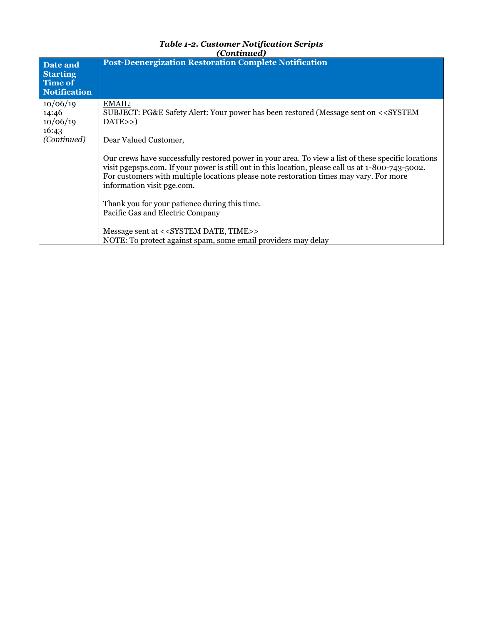| Date and<br><b>Starting</b><br>Time of<br><b>Notification</b> | <b>Post-Deenergization Restoration Complete Notification</b>                                                                                                                                                                                                                                                                     |
|---------------------------------------------------------------|----------------------------------------------------------------------------------------------------------------------------------------------------------------------------------------------------------------------------------------------------------------------------------------------------------------------------------|
| 10/06/19<br>14:46<br>10/06/19<br>16:43<br>(Continued)         | EMAIL:<br>SUBJECT: PG&E Safety Alert: Your power has been restored (Message sent on < <system<br>DATA&gt;&gt;<br/>Dear Valued Customer,</system<br>                                                                                                                                                                              |
|                                                               | Our crews have successfully restored power in your area. To view a list of these specific locations<br>visit pgepsps.com. If your power is still out in this location, please call us at 1-800-743-5002.<br>For customers with multiple locations please note restoration times may vary. For more<br>information visit pge.com. |
|                                                               | Thank you for your patience during this time.<br>Pacific Gas and Electric Company<br>Message sent at < <system date,="" time="">&gt;</system>                                                                                                                                                                                    |
|                                                               | NOTE: To protect against spam, some email providers may delay                                                                                                                                                                                                                                                                    |

*Table 1-2. Customer Notification Scripts*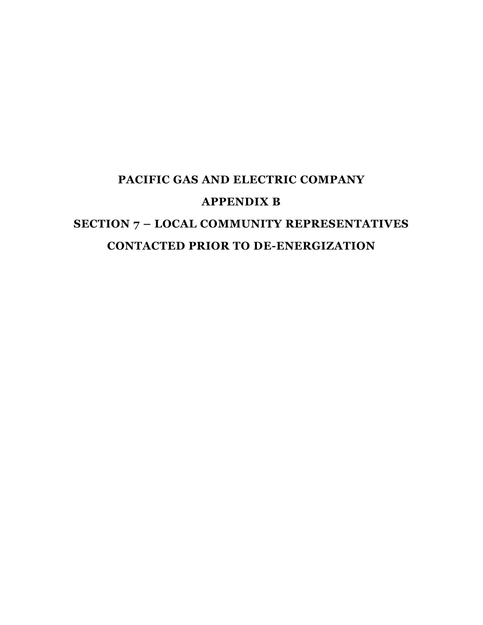# **PACIFIC GAS AND ELECTRIC COMPANY APPENDIX B SECTION 7 – LOCAL COMMUNITY REPRESENTATIVES CONTACTED PRIOR TO DE-ENERGIZATION**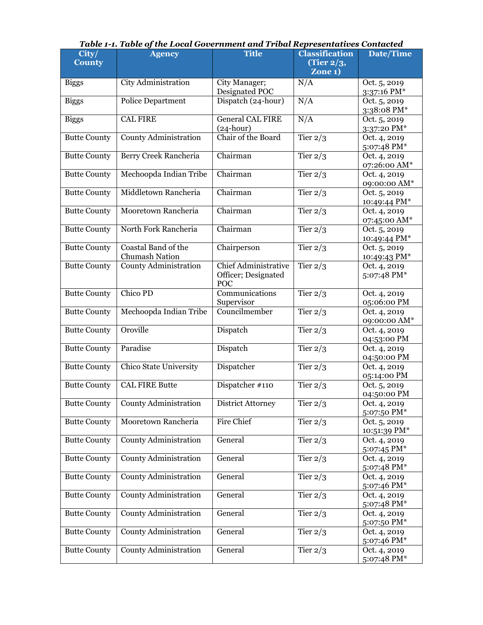| $\overline{\text{City}}$<br><b>County</b> | ruote r il ruote of the Local Obech hinent una rrioal Ke<br><b>Agency</b> | <b>Title</b>                                              | n cochtuuteo<br><b>Classification</b><br>(Tier $2/3$ ,<br>Zone <sub>1</sub> ) | <b>Date/Time</b>             |
|-------------------------------------------|---------------------------------------------------------------------------|-----------------------------------------------------------|-------------------------------------------------------------------------------|------------------------------|
| <b>Biggs</b>                              | City Administration                                                       | City Manager;<br>Designated POC                           | N/A                                                                           | Oct. 5, 2019<br>3:37:16 PM*  |
| <b>Biggs</b>                              | <b>Police Department</b>                                                  | Dispatch (24-hour)                                        | N/A                                                                           | Oct. 5, 2019<br>3:38:08 PM*  |
| <b>Biggs</b>                              | <b>CAL FIRE</b>                                                           | <b>General CAL FIRE</b><br>$(24-hour)$                    | N/A                                                                           | Oct. 5, 2019<br>3:37:20 PM*  |
| <b>Butte County</b>                       | <b>County Administration</b>                                              | Chair of the Board                                        | Tier $2/3$                                                                    | Oct. 4, 2019<br>5:07:48 PM*  |
| <b>Butte County</b>                       | Berry Creek Rancheria                                                     | Chairman                                                  | Tier $2/3$                                                                    | Oct. 4, 2019<br>07:26:00 AM* |
| <b>Butte County</b>                       | Mechoopda Indian Tribe                                                    | Chairman                                                  | Tier $2/3$                                                                    | Oct. 4, 2019<br>09:00:00 AM* |
| <b>Butte County</b>                       | Middletown Rancheria                                                      | Chairman                                                  | Tier $2/3$                                                                    | Oct. 5, 2019<br>10:49:44 PM* |
| <b>Butte County</b>                       | Mooretown Rancheria                                                       | Chairman                                                  | Tier $2/3$                                                                    | Oct. 4, 2019<br>07:45:00 AM* |
| <b>Butte County</b>                       | North Fork Rancheria                                                      | Chairman                                                  | Tier $2/3$                                                                    | Oct. 5, 2019<br>10:49:44 PM* |
| <b>Butte County</b>                       | Coastal Band of the<br>Chumash Nation                                     | Chairperson                                               | Tier $2/3$                                                                    | Oct. 5, 2019<br>10:49:43 PM* |
| <b>Butte County</b>                       | <b>County Administration</b>                                              | <b>Chief Administrative</b><br>Officer; Designated<br>POC | Tier $2/3$                                                                    | Oct. 4, 2019<br>5:07:48 PM*  |
| <b>Butte County</b>                       | Chico PD                                                                  | Communications<br>Supervisor                              | Tier $2/3$                                                                    | Oct. 4, 2019<br>05:06:00 PM  |
| <b>Butte County</b>                       | Mechoopda Indian Tribe                                                    | Councilmember                                             | Tier $2/3$                                                                    | Oct. 4, 2019<br>09:00:00 AM* |
| <b>Butte County</b>                       | Oroville                                                                  | Dispatch                                                  | Tier $2/3$                                                                    | Oct. 4, 2019<br>04:53:00 PM  |
| <b>Butte County</b>                       | Paradise                                                                  | Dispatch                                                  | Tier $2/3$                                                                    | Oct. 4, 2019<br>04:50:00 PM  |
| <b>Butte County</b>                       | Chico State University                                                    | Dispatcher                                                | Tier $2/3$                                                                    | Oct. 4, 2019<br>05:14:00 PM  |
| <b>Butte County</b>                       | <b>CAL FIRE Butte</b>                                                     | Dispatcher #110                                           | Tier $2/3$                                                                    | Oct. 5, 2019<br>04:50:00 PM  |
| <b>Butte County</b>                       | <b>County Administration</b>                                              | <b>District Attorney</b>                                  | Tier $2/3$                                                                    | Oct. 4, 2019<br>5:07:50 PM*  |
| <b>Butte County</b>                       | Mooretown Rancheria                                                       | Fire Chief                                                | Tier $2/3$                                                                    | Oct. 5, 2019<br>10:51:39 PM* |
| <b>Butte County</b>                       | <b>County Administration</b>                                              | General                                                   | Tier $2/3$                                                                    | Oct. 4, 2019<br>5:07:45 PM*  |
| <b>Butte County</b>                       | <b>County Administration</b>                                              | General                                                   | Tier $2/3$                                                                    | Oct. 4, 2019<br>5:07:48 PM*  |
| <b>Butte County</b>                       | County Administration                                                     | General                                                   | Tier $2/3$                                                                    | Oct. 4, 2019<br>5:07:46 PM*  |
| <b>Butte County</b>                       | <b>County Administration</b>                                              | General                                                   | Tier $2/3$                                                                    | Oct. 4, 2019<br>5:07:48 PM*  |
| <b>Butte County</b>                       | <b>County Administration</b>                                              | General                                                   | Tier $2\sqrt{3}$                                                              | Oct. 4, 2019<br>5:07:50 PM*  |
| <b>Butte County</b>                       | County Administration                                                     | General                                                   | Tier $2/3$                                                                    | Oct. 4, 2019<br>5:07:46 PM*  |
| <b>Butte County</b>                       | <b>County Administration</b>                                              | General                                                   | Tier $2/3$                                                                    | Oct. 4, 2019<br>5:07:48 PM*  |

#### *Table 1-1. Table of the Local Government and Tribal Representatives Contacted*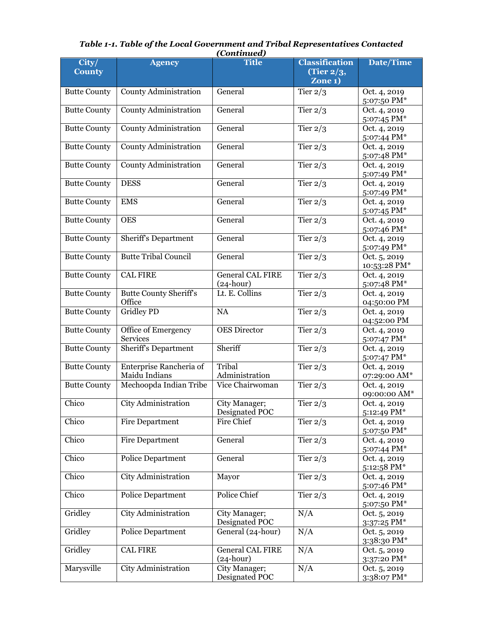| City/<br><b>County</b> | <b>Agency</b>                            | <b>Title</b>                           | <b>Classification</b><br>(Tier $2/3$ ,<br>Zone 1) | Date/Time                    |
|------------------------|------------------------------------------|----------------------------------------|---------------------------------------------------|------------------------------|
| <b>Butte County</b>    | <b>County Administration</b>             | General                                | Tier $2/3$                                        | Oct. 4, 2019<br>5:07:50 PM*  |
| <b>Butte County</b>    | <b>County Administration</b>             | General                                | Tier $2/3$                                        | Oct. 4, 2019<br>5:07:45 PM*  |
| <b>Butte County</b>    | <b>County Administration</b>             | General                                | Tier $2/3$                                        | Oct. 4, 2019<br>5:07:44 PM*  |
| <b>Butte County</b>    | <b>County Administration</b>             | General                                | Tier $2/3$                                        | Oct. 4, 2019<br>5:07:48 PM*  |
| <b>Butte County</b>    | <b>County Administration</b>             | General                                | Tier $2/3$                                        | Oct. 4, 2019<br>5:07:49 PM*  |
| <b>Butte County</b>    | <b>DESS</b>                              | General                                | Tier $2/3$                                        | Oct. 4, 2019<br>5:07:49 PM*  |
| <b>Butte County</b>    | <b>EMS</b>                               | General                                | Tier $2/3$                                        | Oct. 4, 2019<br>5:07:45 PM*  |
| <b>Butte County</b>    | <b>OES</b>                               | General                                | Tier $2/3$                                        | Oct. 4, 2019<br>5:07:46 PM*  |
| <b>Butte County</b>    | <b>Sheriff's Department</b>              | General                                | Tier $2/3$                                        | Oct. 4, 2019<br>5:07:49 PM*  |
| <b>Butte County</b>    | <b>Butte Tribal Council</b>              | General                                | Tier $2/3$                                        | Oct. 5, 2019<br>10:53:28 PM* |
| <b>Butte County</b>    | <b>CAL FIRE</b>                          | <b>General CAL FIRE</b><br>$(24-hour)$ | Tier $2/3$                                        | Oct. 4, 2019<br>5:07:48 PM*  |
| <b>Butte County</b>    | <b>Butte County Sheriff's</b><br>Office  | Lt. E. Collins                         | Tier $2/3$                                        | Oct. 4, 2019<br>04:50:00 PM  |
| <b>Butte County</b>    | <b>Gridley PD</b>                        | NA                                     | Tier $2/3$                                        | Oct. 4, 2019<br>04:52:00 PM  |
| <b>Butte County</b>    | Office of Emergency<br>Services          | <b>OES</b> Director                    | Tier $2/3$                                        | Oct. 4, 2019<br>5:07:47 PM*  |
| <b>Butte County</b>    | <b>Sheriff's Department</b>              | Sheriff                                | Tier $2/3$                                        | Oct. 4, 2019<br>5:07:47 PM*  |
| <b>Butte County</b>    | Enterprise Rancheria of<br>Maidu Indians | Tribal<br>Administration               | Tier $2/3$                                        | Oct. 4, 2019<br>07:29:00 AM* |
| <b>Butte County</b>    | Mechoopda Indian Tribe                   | Vice Chairwoman                        | Tier $2/3$                                        | Oct. 4, 2019<br>09:00:00 AM* |
| Chico                  | City Administration                      | City Manager;<br>Designated POC        | Tier $2/3$                                        | Oct. 4, 2019<br>5:12:49 PM*  |
| Chico                  | Fire Department                          | Fire Chief                             | Tier $2/3$                                        | Oct. 4, 2019<br>5:07:50 PM*  |
| Chico                  | Fire Department                          | General                                | Tier $2/3$                                        | Oct. 4, 2019<br>5:07:44 PM*  |
| Chico                  | Police Department                        | General                                | Tier $2/3$                                        | Oct. 4, 2019<br>5:12:58 PM*  |
| Chico                  | City Administration                      | Mayor                                  | Tier $2/3$                                        | Oct. 4, 2019<br>5:07:46 PM*  |
| Chico                  | Police Department                        | Police Chief                           | Tier $2/3$                                        | Oct. 4, 2019<br>5:07:50 PM*  |
| Gridley                | City Administration                      | City Manager;<br>Designated POC        | N/A                                               | Oct. 5, 2019<br>3:37:25 PM*  |
| Gridley                | Police Department                        | General (24-hour)                      | N/A                                               | Oct. 5, 2019<br>3:38:30 PM*  |
| Gridley                | <b>CAL FIRE</b>                          | <b>General CAL FIRE</b><br>$(24-hour)$ | N/A                                               | Oct. 5, 2019<br>3:37:20 PM*  |
| Marysville             | City Administration                      | City Manager;<br>Designated POC        | N/A                                               | Oct. 5, 2019<br>3:38:07 PM*  |

#### *Table 1-1. Table of the Local Government and Tribal Representatives Contacted (Continued)*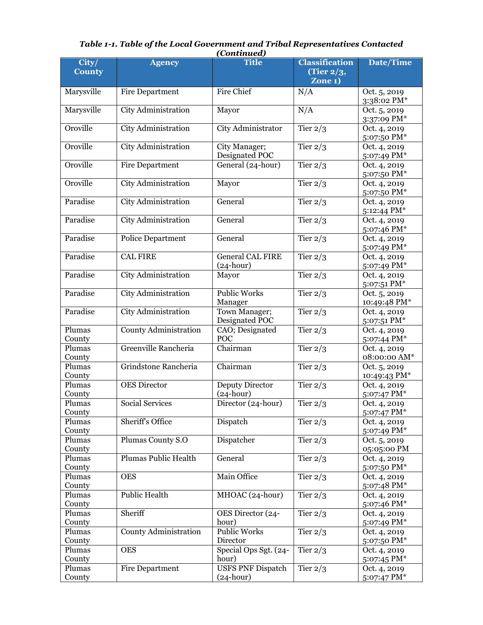|                                           |                              | (Continuuti)                            |                                                                      |                                            |
|-------------------------------------------|------------------------------|-----------------------------------------|----------------------------------------------------------------------|--------------------------------------------|
| $\overline{\text{City}}$<br><b>County</b> | <b>Agency</b>                | <b>Title</b>                            | <b>Classification</b><br>(Tier $2/3$ ,<br>$\overline{\text{Zone 1}}$ | <b>Date/Time</b>                           |
| Marysville                                | <b>Fire Department</b>       | <b>Fire Chief</b>                       | N/A                                                                  | Oct. 5, 2019<br>3:38:02 PM*                |
| Marysville                                | City Administration          | Mayor                                   | N/A                                                                  | Oct. 5, 2019<br>3:37:09 PM*                |
| Oroville                                  | City Administration          | City Administrator                      | Tier $2/3$                                                           | Oct. 4, 2019<br>5:07:50 PM*                |
| Oroville                                  | City Administration          | City Manager;<br>Designated POC         | Tier $2/3$                                                           | Oct. 4, 2019<br>5:07:49 PM*                |
| Oroville                                  | <b>Fire Department</b>       | General (24-hour)                       | Tier $2/3$                                                           | Oct. 4, 2019<br>5:07:50 PM*                |
| Oroville                                  | City Administration          | Mayor                                   | Tier $2/3$                                                           | Oct. 4, 2019<br>5:07:50 PM*                |
| Paradise                                  | <b>City Administration</b>   | General                                 | Tier $2/3$                                                           | Oct. 4, 2019<br>5:12:44 PM*                |
| Paradise                                  | City Administration          | General                                 | Tier $2/3$                                                           | Oct. 4, 2019<br>5:07:46 PM*                |
| Paradise                                  | <b>Police Department</b>     | General                                 | Tier $2/3$                                                           | Oct. 4, 2019<br>5:07:49 PM*                |
| Paradise                                  | <b>CAL FIRE</b>              | <b>General CAL FIRE</b><br>$(24-hour)$  | Tier $2/3$                                                           | Oct. 4, 2019<br>5:07:49 PM*                |
| Paradise                                  | <b>City Administration</b>   | Mayor                                   | Tier $2/3$                                                           | Oct. 4, 2019<br>5:07:51 PM*                |
| Paradise                                  | City Administration          | <b>Public Works</b><br>Manager          | Tier $2/3$                                                           | Oct. 5, 2019<br>10:49:48 PM*               |
| Paradise                                  | City Administration          | Town Manager;<br>Designated POC         | Tier $2/3$                                                           | Oct. 4, 2019<br>5:07:51 PM*                |
| Plumas<br>County                          | <b>County Administration</b> | CAO; Designated<br>POC                  | Tier $2/3$                                                           | Oct. 4, 2019<br>5:07:44 PM*                |
| Plumas<br>County                          | Greenville Rancheria         | Chairman                                | Tier $2/3$                                                           | Oct. 4, 2019<br>08:00:00 AM*               |
| Plumas<br>County                          | Grindstone Rancheria         | Chairman                                | Tier $2/3$                                                           | Oct. 5, 2019<br>10:49:43 PM*               |
| Plumas<br>County                          | <b>OES</b> Director          | <b>Deputy Director</b><br>$(24-hour)$   | Tier $2/3$                                                           | Oct. 4, 2019<br>5:07:47 PM*                |
| Plumas<br>County                          | <b>Social Services</b>       | Director (24-hour)                      | Tier $2/3$                                                           | Oct. 4, 2019<br>5:07:47 PM*                |
| Plumas<br>County                          | <b>Sheriff's Office</b>      | Dispatch                                | Tier $2/3$                                                           | Oct. 4, 2019<br>5:07:49 PM*                |
| Plumas<br>County                          | Plumas County S.O            | Dispatcher                              | Tier $2/3$                                                           | Oct. 5, 2019<br>05:05:00 PM                |
| Plumas<br>County                          | <b>Plumas Public Health</b>  | General                                 | Tier $2/3$                                                           | Oct. 4, 2019<br>5:07:50 PM*                |
| Plumas<br>County                          | <b>OES</b>                   | Main Office                             | Tier $2/3$                                                           | Oct. 4, 2019<br>5:07:48 PM*                |
| Plumas<br>County                          | <b>Public Health</b>         | MHOAC (24-hour)                         | Tier $2/3$                                                           | Oct. 4, 2019<br>5:07:46 PM*                |
| Plumas<br>County                          | Sheriff                      | OES Director (24-<br>hour)              | Tier $2/3$                                                           | Oct. 4, 2019<br>5:07:49 PM*                |
| Plumas<br>County                          | <b>County Administration</b> | <b>Public Works</b><br>Director         | Tier $2/3$                                                           | Oct. 4, 2019<br>5:07:50 PM*                |
| Plumas<br>County                          | <b>OES</b>                   | Special Ops Sgt. (24-<br>hour)          | Tier $2/3$                                                           | Oct. 4, 2019                               |
| Plumas<br>County                          | <b>Fire Department</b>       | <b>USFS PNF Dispatch</b><br>$(24-hour)$ | Tier $2/3$                                                           | 5:07:45 PM*<br>Oct. 4, 2019<br>5:07:47 PM* |

#### *Table 1-1. Table of the Local Government and Tribal Representatives Contacted (Continued)*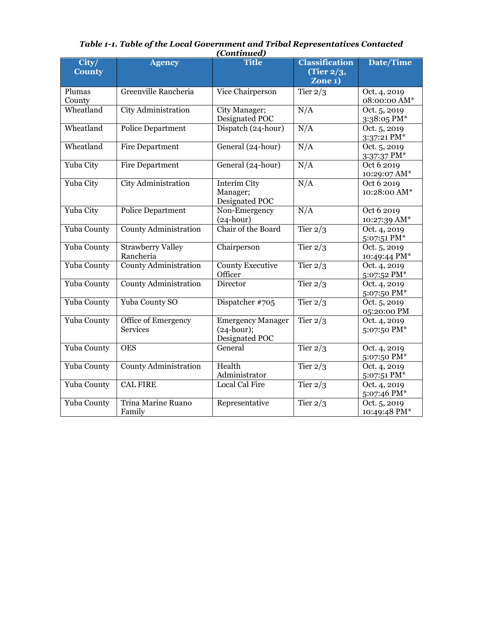|                        |                                        | $\ddotsc$                                                          |                                                               |                              |
|------------------------|----------------------------------------|--------------------------------------------------------------------|---------------------------------------------------------------|------------------------------|
| City/<br><b>County</b> | <b>Agency</b>                          | <b>Title</b>                                                       | <b>Classification</b><br>(Tier $2/3$ ,<br>Zone <sub>1</sub> ) | <b>Date/Time</b>             |
| Plumas<br>County       | Greenville Rancheria                   | Vice Chairperson                                                   | Tier $2/3$                                                    | Oct. 4, 2019<br>08:00:00 AM* |
| Wheatland              | City Administration                    | City Manager;<br>Designated POC                                    | N/A                                                           | Oct. 5, 2019<br>3:38:05 PM*  |
| Wheatland              | <b>Police Department</b>               | Dispatch (24-hour)                                                 | N/A                                                           | Oct. 5, 2019<br>3:37:21 PM*  |
| Wheatland              | <b>Fire Department</b>                 | General (24-hour)                                                  | N/A                                                           | Oct. 5, 2019<br>3:37:37 PM*  |
| Yuba City              | Fire Department                        | General (24-hour)                                                  | N/A                                                           | Oct 6 2019<br>10:29:07 AM*   |
| Yuba City              | City Administration                    | <b>Interim City</b><br>Manager;<br>Designated POC                  | N/A                                                           | Oct 6 2019<br>10:28:00 AM*   |
| Yuba City              | <b>Police Department</b>               | Non-Emergency<br>$(24-hour)$                                       | N/A                                                           | Oct 6 2019<br>10:27:39 AM*   |
| Yuba County            | <b>County Administration</b>           | Chair of the Board                                                 | Tier $2/3$                                                    | Oct. 4, 2019<br>5:07:51 PM*  |
| Yuba County            | <b>Strawberry Valley</b><br>Rancheria  | Chairperson                                                        | Tier $2/3$                                                    | Oct. 5, 2019<br>10:49:44 PM* |
| Yuba County            | <b>County Administration</b>           | <b>County Executive</b><br>Officer                                 | Tier $2/3$                                                    | Oct. 4, 2019<br>5:07:52 PM*  |
| Yuba County            | <b>County Administration</b>           | Director                                                           | Tier $2/3$                                                    | Oct. 4, 2019<br>5:07:50 PM*  |
| Yuba County            | Yuba County SO                         | Dispatcher #705                                                    | Tier $2/3$                                                    | Oct. 5, 2019<br>05:20:00 PM  |
| Yuba County            | Office of Emergency<br><b>Services</b> | <b>Emergency Manager</b><br>$(24 \text{-hour});$<br>Designated POC | Tier $2/3$                                                    | Oct. 4, 2019<br>5:07:50 PM*  |
| Yuba County            | <b>OES</b>                             | General                                                            | Tier $2/3$                                                    | Oct. 4, 2019<br>5:07:50 PM*  |
| Yuba County            | <b>County Administration</b>           | Health<br>Administrator                                            | Tier $2/3$                                                    | Oct. 4, 2019<br>5:07:51 PM*  |
| Yuba County            | <b>CAL FIRE</b>                        | Local Cal Fire                                                     | Tier $2/3$                                                    | Oct. 4, 2019<br>5:07:46 PM*  |
| Yuba County            | Trina Marine Ruano<br>Family           | Representative                                                     | Tier $2/3$                                                    | Oct. 5, 2019<br>10:49:48 PM* |

| Table 1-1. Table of the Local Government and Tribal Representatives Contacted |
|-------------------------------------------------------------------------------|
| (Continued)                                                                   |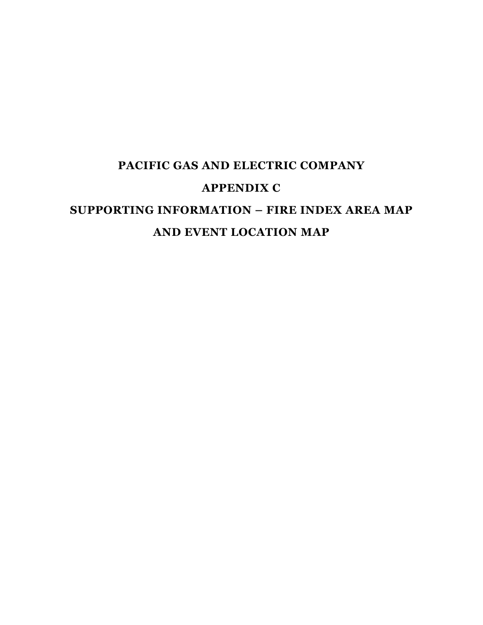# **PACIFIC GAS AND ELECTRIC COMPANY APPENDIX C SUPPORTING INFORMATION – FIRE INDEX AREA MAP AND EVENT LOCATION MAP**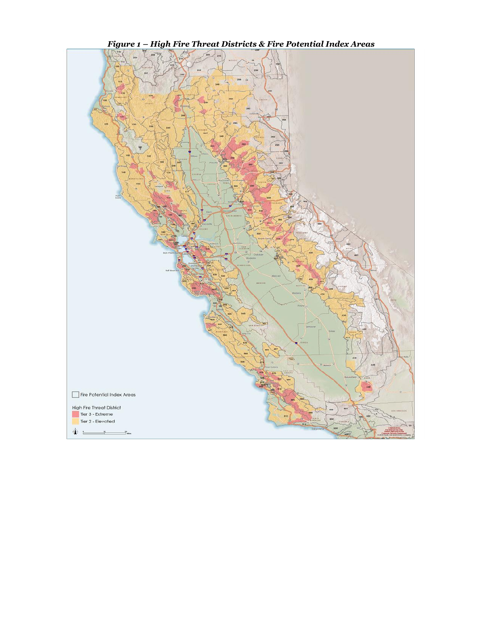

*Figure 1 – High Fire Threat Districts & Fire Potential Index Areas*